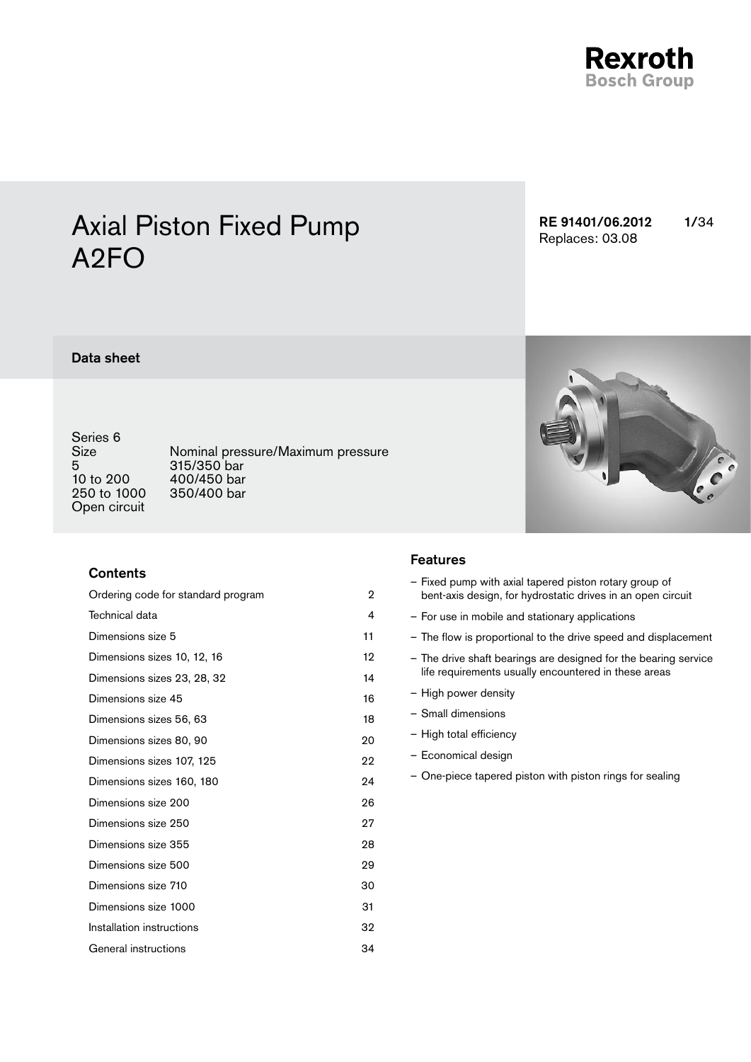

# Axial Piston Fixed Pump A2FO

RE 91401/06.2012 1/34 Replaces: 03.08

### Data sheet

Series 6<br>Size 5 315/350 bar<br>10 to 200 400/450 bar 250 to 1000 Open circuit

Size Mominal pressure/Maximum pressure<br>5 315/350 bar 400/450 bar<br>350/400 bar

### **Contents**

| Ordering code for standard program | 2  |
|------------------------------------|----|
| Technical data                     | 4  |
| Dimensions size 5                  | 11 |
| Dimensions sizes 10, 12, 16        | 12 |
| Dimensions sizes 23, 28, 32        | 14 |
| Dimensions size 45                 | 16 |
| Dimensions sizes 56, 63            | 18 |
| Dimensions sizes 80, 90            | 20 |
| Dimensions sizes 107, 125          | 22 |
| Dimensions sizes 160, 180          | 24 |
| Dimensions size 200                | 26 |
| Dimensions size 250                | 27 |
| Dimensions size 355                | 28 |
| Dimensions size 500                | 29 |
| Dimensions size 710                | 30 |
| Dimensions size 1000               | 31 |
| Installation instructions          | 32 |
| General instructions               | 34 |

### Features

| - Fixed pump with axial tapered piston rotary group of      |
|-------------------------------------------------------------|
| bent axis design, for hydrostatic drives in an open circuit |

- For use in mobile and stationary applications
- The flow is proportional to the drive speed and displacement
- The drive shaft bearings are designed for the bearing service life requirements usually encountered in these areas
- High power density
- Small dimensions
- High total efficiency
- Economical design
- One-piece tapered piston with piston rings for sealing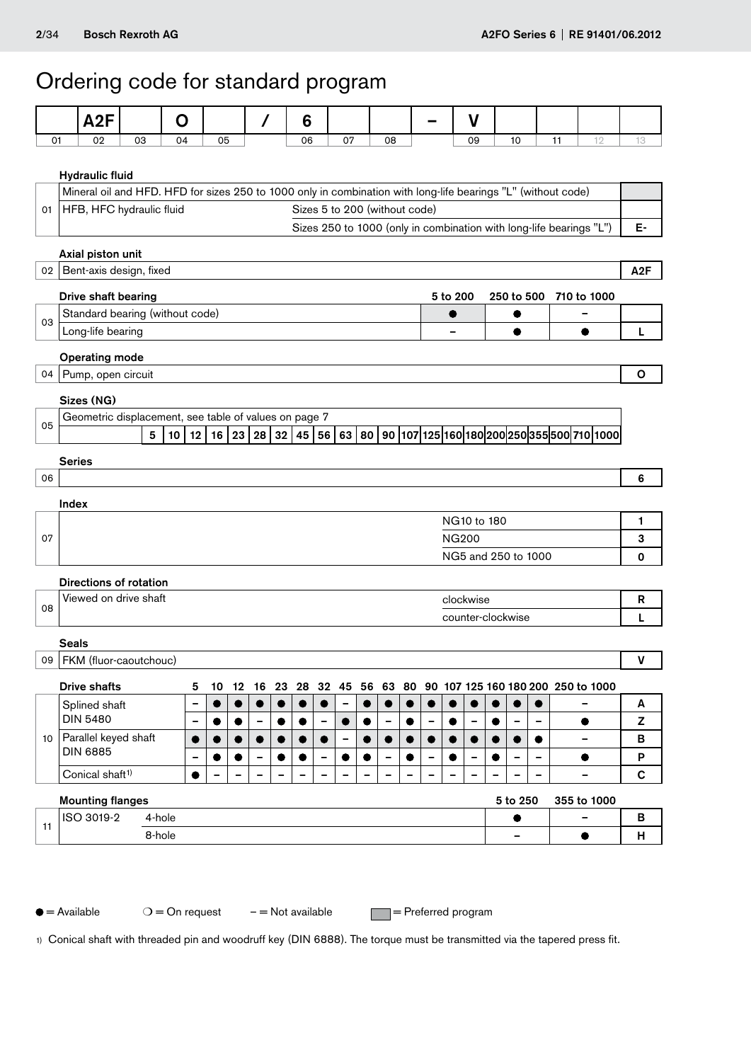## <span id="page-1-0"></span>Ordering code for standard program

|    |                                                              | A2F                                                                                                           |    |                      | O                            |                     |           | 7                            |       | 6  |                 |                          |                          |                          |                          |                 |              | V           |                          |                          |    |                                                                                          |                  |
|----|--------------------------------------------------------------|---------------------------------------------------------------------------------------------------------------|----|----------------------|------------------------------|---------------------|-----------|------------------------------|-------|----|-----------------|--------------------------|--------------------------|--------------------------|--------------------------|-----------------|--------------|-------------|--------------------------|--------------------------|----|------------------------------------------------------------------------------------------|------------------|
| 01 |                                                              | 02                                                                                                            | 03 |                      | 04                           | 05                  |           |                              |       | 06 |                 | 07                       |                          | 08                       |                          |                 |              | 09          | 10                       |                          | 11 | 12                                                                                       | 13               |
|    | <b>Hydraulic fluid</b>                                       |                                                                                                               |    |                      |                              |                     |           |                              |       |    |                 |                          |                          |                          |                          |                 |              |             |                          |                          |    |                                                                                          |                  |
|    |                                                              | Mineral oil and HFD. HFD for sizes 250 to 1000 only in combination with long-life bearings "L" (without code) |    |                      |                              |                     |           |                              |       |    |                 |                          |                          |                          |                          |                 |              |             |                          |                          |    |                                                                                          |                  |
| 01 | Sizes 5 to 200 (without code)<br>HFB, HFC hydraulic fluid    |                                                                                                               |    |                      |                              |                     |           |                              |       |    |                 |                          |                          |                          |                          |                 |              |             |                          |                          |    |                                                                                          |                  |
|    |                                                              |                                                                                                               |    |                      |                              |                     |           |                              |       |    |                 |                          |                          |                          |                          |                 |              |             |                          |                          |    | Sizes 250 to 1000 (only in combination with long-life bearings "L")                      | Е-               |
|    |                                                              | Axial piston unit                                                                                             |    |                      |                              |                     |           |                              |       |    |                 |                          |                          |                          |                          |                 |              |             |                          |                          |    |                                                                                          |                  |
|    |                                                              | 02   Bent-axis design, fixed                                                                                  |    |                      |                              |                     |           |                              |       |    |                 |                          |                          |                          |                          |                 |              |             |                          |                          |    |                                                                                          | A <sub>2</sub> F |
|    | Drive shaft bearing<br>5 to 200<br>250 to 500<br>710 to 1000 |                                                                                                               |    |                      |                              |                     |           |                              |       |    |                 |                          |                          |                          |                          |                 |              |             |                          |                          |    |                                                                                          |                  |
| 03 |                                                              | Standard bearing (without code)                                                                               |    |                      |                              |                     |           |                              |       |    |                 |                          |                          |                          |                          |                 |              |             |                          |                          |    |                                                                                          |                  |
|    |                                                              | Long-life bearing                                                                                             |    |                      |                              |                     |           |                              |       |    |                 |                          |                          |                          |                          |                 |              |             | $\bullet$                |                          |    | $\bullet$                                                                                | L                |
|    |                                                              | <b>Operating mode</b>                                                                                         |    |                      |                              |                     |           |                              |       |    |                 |                          |                          |                          |                          |                 |              |             |                          |                          |    |                                                                                          |                  |
|    |                                                              | 04 Pump, open circuit                                                                                         |    |                      |                              |                     |           |                              |       |    |                 |                          |                          |                          |                          |                 |              |             |                          |                          |    |                                                                                          | O                |
|    |                                                              | Sizes (NG)                                                                                                    |    |                      |                              |                     |           |                              |       |    |                 |                          |                          |                          |                          |                 |              |             |                          |                          |    |                                                                                          |                  |
| 05 |                                                              | Geometric displacement, see table of values on page 7                                                         |    |                      |                              |                     |           |                              |       |    |                 |                          |                          |                          |                          |                 |              |             |                          |                          |    |                                                                                          |                  |
|    |                                                              |                                                                                                               |    | 5<br>10 <sup>1</sup> |                              | $12$   16   23   28 |           |                              |       |    |                 |                          |                          |                          |                          |                 |              |             |                          |                          |    | 32   45   56   63   80   90   107   125   160   180   200   250   355   500   710   1000 |                  |
|    | <b>Series</b>                                                |                                                                                                               |    |                      |                              |                     |           |                              |       |    |                 |                          |                          |                          |                          |                 |              |             |                          |                          |    |                                                                                          |                  |
| 06 |                                                              |                                                                                                               |    |                      |                              |                     |           |                              |       |    |                 |                          |                          |                          |                          |                 |              |             |                          |                          |    |                                                                                          | 6                |
|    | Index                                                        |                                                                                                               |    |                      |                              |                     |           |                              |       |    |                 |                          |                          |                          |                          |                 |              |             |                          |                          |    |                                                                                          |                  |
|    |                                                              |                                                                                                               |    |                      |                              |                     |           |                              |       |    |                 |                          |                          |                          |                          |                 |              | NG10 to 180 |                          |                          |    |                                                                                          | 1                |
| 07 |                                                              |                                                                                                               |    |                      |                              |                     |           |                              |       |    |                 |                          |                          |                          |                          |                 | <b>NG200</b> |             |                          |                          |    |                                                                                          | 3                |
|    |                                                              |                                                                                                               |    |                      |                              |                     |           |                              |       |    |                 |                          |                          |                          |                          |                 |              |             | NG5 and 250 to 1000      |                          |    |                                                                                          | 0                |
|    |                                                              | Directions of rotation                                                                                        |    |                      |                              |                     |           |                              |       |    |                 |                          |                          |                          |                          |                 |              |             |                          |                          |    |                                                                                          |                  |
| 08 |                                                              | Viewed on drive shaft                                                                                         |    |                      |                              |                     |           |                              |       |    |                 |                          |                          |                          |                          |                 |              | clockwise   |                          |                          |    |                                                                                          | R                |
|    |                                                              |                                                                                                               |    |                      |                              |                     |           |                              |       |    |                 |                          |                          |                          |                          |                 |              |             | counter-clockwise        |                          |    |                                                                                          | L                |
|    | <b>Seals</b>                                                 |                                                                                                               |    |                      |                              |                     |           |                              |       |    |                 |                          |                          |                          |                          |                 |              |             |                          |                          |    |                                                                                          |                  |
|    |                                                              | 09   FKM (fluor-caoutchouc)                                                                                   |    |                      |                              |                     |           |                              |       |    |                 |                          |                          |                          |                          |                 |              |             |                          |                          |    |                                                                                          | V                |
|    |                                                              | <b>Drive shafts</b>                                                                                           |    |                      | 5                            | 10                  | 12        | 16                           | 23 28 |    |                 | 32 45                    |                          |                          |                          |                 |              |             |                          |                          |    | 56 63 80 90 107 125 160 180 200 250 to 1000                                              |                  |
|    |                                                              | Splined shaft                                                                                                 |    |                      | -                            |                     | $\bullet$ |                              |       |    | $\bullet$       | $\overline{\phantom{0}}$ | $\bullet$                | $\bullet$                | $\bullet$                |                 |              |             |                          |                          |    |                                                                                          | A                |
|    |                                                              | <b>DIN 5480</b>                                                                                               |    |                      | -                            | $\bullet$           |           | $\qquad \qquad \blacksquare$ |       |    | $\qquad \qquad$ |                          | $\bullet$                | $\qquad \qquad$          | $\bullet$                | $\qquad \qquad$ |              | -           | $\overline{\phantom{0}}$ | -                        |    | $\bullet$                                                                                | z                |
| 10 |                                                              | Parallel keyed shaft<br><b>DIN 6885</b>                                                                       |    |                      | $\bullet$                    | $\bullet$           | $\bullet$ |                              |       |    | $\bullet$       | $\overline{\phantom{0}}$ | $\bullet$                | $\bullet$                | $\bullet$                | $\bullet$       |              |             | $\bullet$                | $\bullet$                |    | $\equiv$                                                                                 | в                |
|    |                                                              |                                                                                                               |    |                      | $\qquad \qquad \blacksquare$ | ●                   |           |                              |       |    |                 |                          | ●                        | $\overline{\phantom{0}}$ |                          |                 |              |             | $\equiv$                 | $\overline{\phantom{0}}$ |    | $\bullet$                                                                                | P                |
|    |                                                              | Conical shaft <sup>1)</sup>                                                                                   |    |                      | $\bullet$                    | $\qquad \qquad$     |           |                              |       |    |                 |                          | $\overline{\phantom{a}}$ | $\overline{\phantom{a}}$ | $\overline{\phantom{0}}$ |                 |              | -           | -                        | -                        |    | $\qquad \qquad \blacksquare$                                                             | $\mathbf c$      |
|    |                                                              | <b>Mounting flanges</b>                                                                                       |    |                      |                              |                     |           |                              |       |    |                 |                          |                          |                          |                          |                 |              |             | 5 to 250                 |                          |    | 355 to 1000                                                                              |                  |
| 11 |                                                              | ISO 3019-2                                                                                                    |    | 4-hole               |                              |                     |           |                              |       |    |                 |                          |                          |                          |                          |                 |              |             | $\bullet$                |                          |    |                                                                                          | B                |
|    |                                                              |                                                                                                               |    | 8-hole               |                              |                     |           |                              |       |    |                 |                          |                          |                          |                          |                 |              |             |                          |                          |    | $\bullet$                                                                                | н                |

 $\bigcirc$  = Available  $O =$  On request  $-$  = Not available  $\qquad \qquad \blacksquare$  = Preferred program

1) Conical shaft with threaded pin and woodruff key (DIN 6888). The torque must be transmitted via the tapered press fit.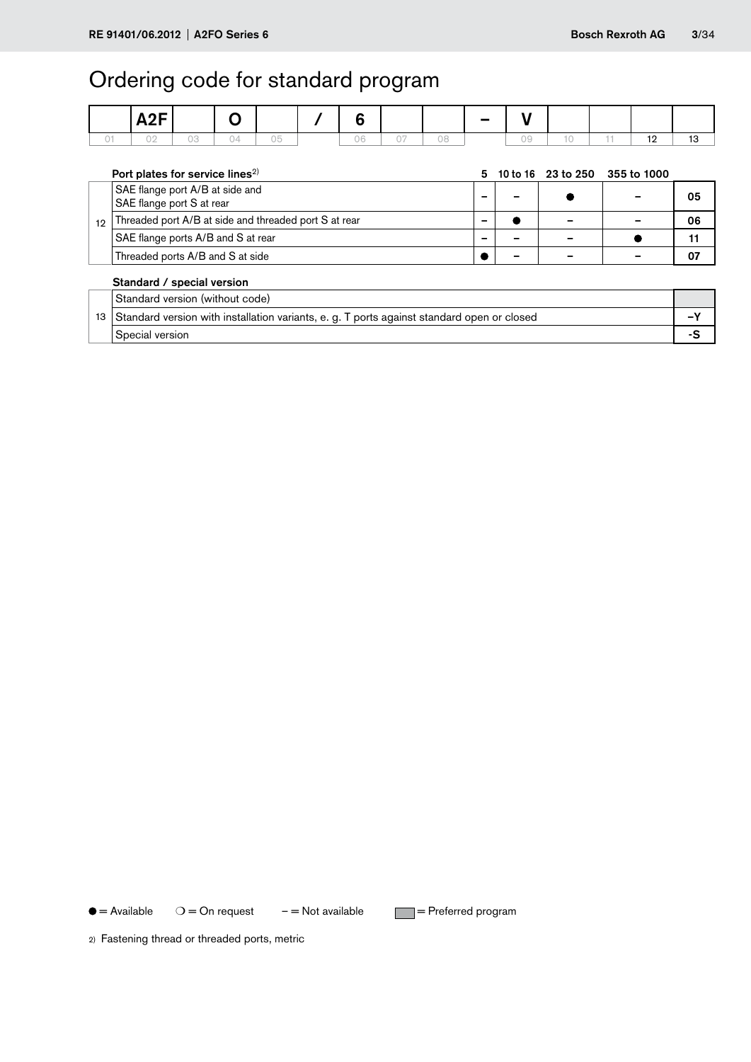## Ordering code for standard program

| A2F |    |  | œ  |  |    |  |                          |
|-----|----|--|----|--|----|--|--------------------------|
|     | nn |  | 06 |  | าด |  | $\overline{\phantom{a}}$ |

|    | Port plates for service lines <sup>2)</sup>                                                |   |  |  | 10 to 16 23 to 250 355 to 1000 |    |  |  |  |  |  |
|----|--------------------------------------------------------------------------------------------|---|--|--|--------------------------------|----|--|--|--|--|--|
|    | SAE flange port A/B at side and                                                            |   |  |  |                                |    |  |  |  |  |  |
|    | SAE flange port S at rear                                                                  |   |  |  |                                | 05 |  |  |  |  |  |
| 12 | Threaded port A/B at side and threaded port S at rear                                      | - |  |  |                                | 06 |  |  |  |  |  |
|    | SAE flange ports A/B and S at rear                                                         |   |  |  |                                | 11 |  |  |  |  |  |
|    | Threaded ports A/B and S at side                                                           |   |  |  |                                | 07 |  |  |  |  |  |
|    | Standard / special version                                                                 |   |  |  |                                |    |  |  |  |  |  |
|    | Standard version (without code)                                                            |   |  |  |                                |    |  |  |  |  |  |
| 13 | Standard version with installation variants, e. g. T ports against standard open or closed |   |  |  |                                |    |  |  |  |  |  |
|    |                                                                                            |   |  |  |                                |    |  |  |  |  |  |

### Special version **Special version**

 $\bullet$  = Available  $O =$  On request  $-$  = Not available  $=$  Preferred program

2) Fastening thread or threaded ports, metric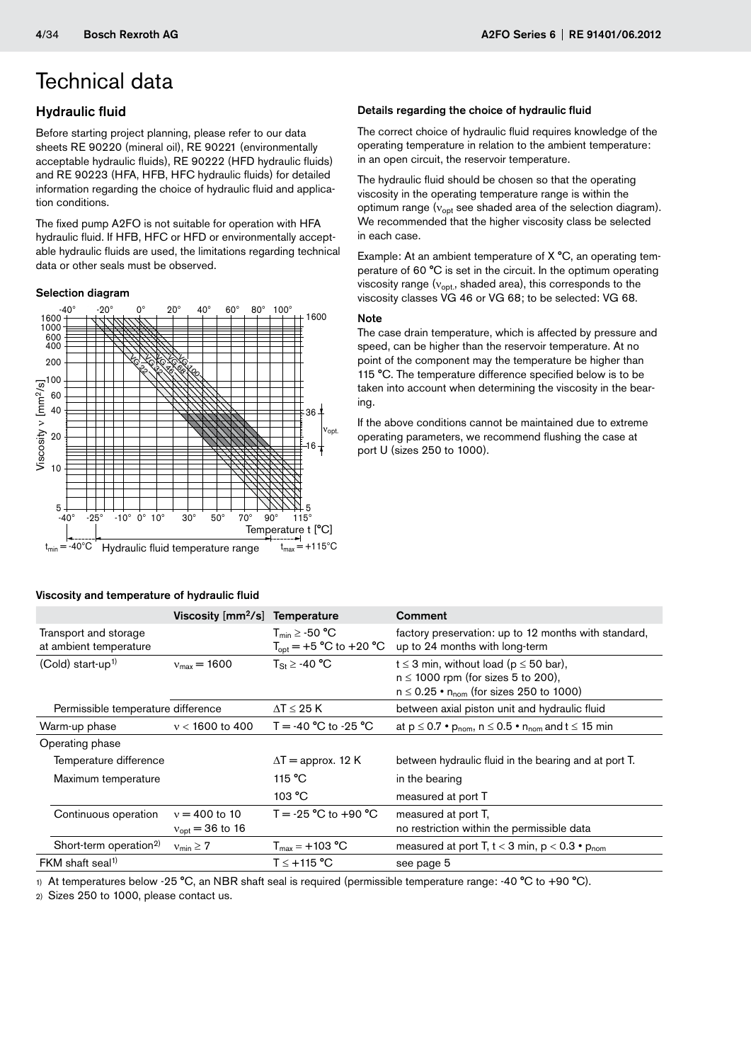### <span id="page-3-0"></span>Hydraulic fluid

Before starting project planning, please refer to our data sheets RE 90220 (mineral oil), RE 90221 (environmentally acceptable hydraulic fluids), RE 90222 (HFD hydraulic fluids) and RE 90223 (HFA, HFB, HFC hydraulic fluids) for detailed information regarding the choice of hydraulic fluid and application conditions.

The fixed pump A2FO is not suitable for operation with HFA hydraulic fluid. If HFB, HFC or HFD or environmentally acceptable hydraulic fluids are used, the limitations regarding technical data or other seals must be observed.

### Selection diagram



### Viscosity and temperature of hydraulic fluid

### Details regarding the choice of hydraulic fluid

The correct choice of hydraulic fluid requires knowledge of the operating temperature in relation to the ambient temperature: in an open circuit, the reservoir temperature.

The hydraulic fluid should be chosen so that the operating viscosity in the operating temperature range is within the optimum range ( $v_{\text{opt}}$  see shaded area of the selection diagram). We recommended that the higher viscosity class be selected in each case.

Example: At an ambient temperature of X °C, an operating temperature of 60 °C is set in the circuit. In the optimum operating viscosity range  $(v_{\text{opt}})$ , shaded area), this corresponds to the viscosity classes VG 46 or VG 68; to be selected: VG 68.

#### Note

The case drain temperature, which is affected by pressure and speed, can be higher than the reservoir temperature. At no point of the component may the temperature be higher than 115 °C. The temperature difference specified below is to be taken into account when determining the viscosity in the bearing.

If the above conditions cannot be maintained due to extreme operating parameters, we recommend flushing the case at port U (sizes 250 to 1000).

|                                                 | Viscosity [mm <sup>2</sup> /s] Temperature |                                                                               | Comment                                                                                                                                         |
|-------------------------------------------------|--------------------------------------------|-------------------------------------------------------------------------------|-------------------------------------------------------------------------------------------------------------------------------------------------|
| Transport and storage<br>at ambient temperature |                                            | $T_{min} \geq -50$ °C<br>$T_{\text{opt}} = +5 \text{ °C}$ to $+20 \text{ °C}$ | factory preservation: up to 12 months with standard,<br>up to 24 months with long-term                                                          |
| $(Cold)$ start-up <sup>1)</sup>                 | $v_{\text{max}} = 1600$                    | $T_{\rm St}$ $\geq$ -40 °C                                                    | $t \leq 3$ min, without load ( $p \leq 50$ bar),<br>$n \leq 1000$ rpm (for sizes 5 to 200),<br>$n \le 0.25$ • $n_{nom}$ (for sizes 250 to 1000) |
| Permissible temperature difference              |                                            | $\Delta T \leq 25K$                                                           | between axial piston unit and hydraulic fluid                                                                                                   |
| Warm-up phase                                   | $v < 1600$ to 400                          | T = -40 $^{\circ}$ C to -25 $^{\circ}$ C                                      | at $p \le 0.7$ • $p_{nom}$ , $n \le 0.5$ • $n_{nom}$ and $t \le 15$ min                                                                         |
| Operating phase                                 |                                            |                                                                               |                                                                                                                                                 |
| Temperature difference                          |                                            | $\Delta T$ = approx. 12 K                                                     | between hydraulic fluid in the bearing and at port T.                                                                                           |
| Maximum temperature                             |                                            | 115 °C                                                                        | in the bearing                                                                                                                                  |
|                                                 |                                            | 103 °C                                                                        | measured at port T                                                                                                                              |
| Continuous operation                            | $v = 400$ to 10<br>$v_{opt} = 36$ to 16    | T = -25 $^{\circ}$ C to +90 $^{\circ}$ C                                      | measured at port T,<br>no restriction within the permissible data                                                                               |
| Short-term operation <sup>2)</sup>              | $v_{\text{min}} \geq 7$                    | $T_{max} = +103 °C$                                                           | measured at port T, $t < 3$ min, $p < 0.3$ • $p_{nom}$                                                                                          |
| FKM shaft seal <sup>1)</sup>                    |                                            | $T \le +115 °C$                                                               | see page 5                                                                                                                                      |
|                                                 |                                            |                                                                               |                                                                                                                                                 |

1) At temperatures below -25 °C, an NBR shaft seal is required (permissible temperature range: -40 °C to +90 °C).

2) Sizes 250 to 1000, please contact us.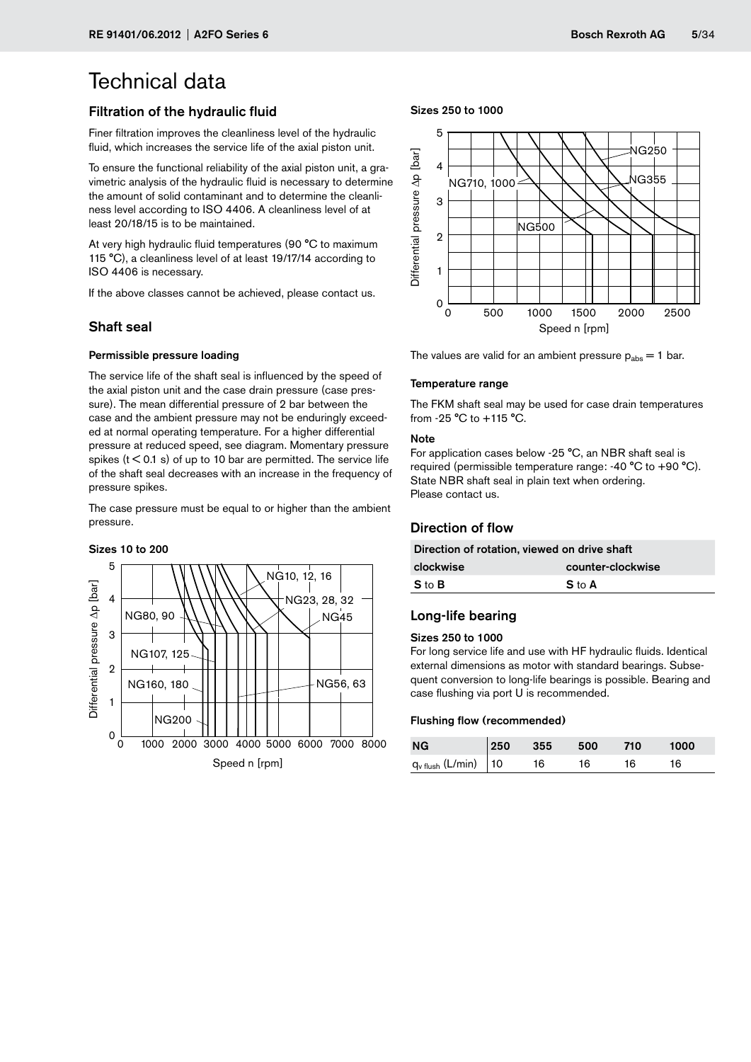### Filtration of the hydraulic fluid

Finer filtration improves the cleanliness level of the hydraulic fluid, which increases the service life of the axial piston unit.

To ensure the functional reliability of the axial piston unit, a gravimetric analysis of the hydraulic fluid is necessary to determine the amount of solid contaminant and to determine the cleanliness level according to ISO 4406. A cleanliness level of at least 20/18/15 is to be maintained.

At very high hydraulic fluid temperatures (90 °C to maximum 115 °C), a cleanliness level of at least 19/17/14 according to ISO 4406 is necessary.

If the above classes cannot be achieved, please contact us.

### Shaft seal

### Permissible pressure loading

The service life of the shaft seal is influenced by the speed of the axial piston unit and the case drain pressure (case pressure). The mean differential pressure of 2 bar between the case and the ambient pressure may not be enduringly exceeded at normal operating temperature. For a higher differential pressure at reduced speed, see diagram. Momentary pressure spikes ( $t < 0.1$  s) of up to 10 bar are permitted. The service life of the shaft seal decreases with an increase in the frequency of pressure spikes.

The case pressure must be equal to or higher than the ambient pressure.

#### Sizes 10 to 200



#### Sizes 250 to 1000



The values are valid for an ambient pressure  $p_{\text{abs}} = 1$  bar.

#### Temperature range

The FKM shaft seal may be used for case drain temperatures from -25 °C to +115 °C.

#### **Note**

For application cases below -25 °C, an NBR shaft seal is required (permissible temperature range: -40 °C to +90 °C). State NBR shaft seal in plain text when ordering. Please contact us.

### Direction of flow

| Direction of rotation, viewed on drive shaft |                   |  |  |  |  |  |
|----------------------------------------------|-------------------|--|--|--|--|--|
| clockwise                                    | counter-clockwise |  |  |  |  |  |
| S to B                                       | S to A            |  |  |  |  |  |

### Long-life bearing

#### Sizes 250 to 1000

For long service life and use with HF hydraulic fluids. Identical external dimensions as motor with standard bearings. Subsequent conversion to long-life bearings is possible. Bearing and case flushing via port U is recommended.

#### Flushing flow (recommended)

| <b>NG</b>                        |    | $250$ 355 500 |    | 710 | 1000 |
|----------------------------------|----|---------------|----|-----|------|
| $q_{v \text{ flush}}$ (L/min) 10 | 16 |               | 16 | 16. | 16   |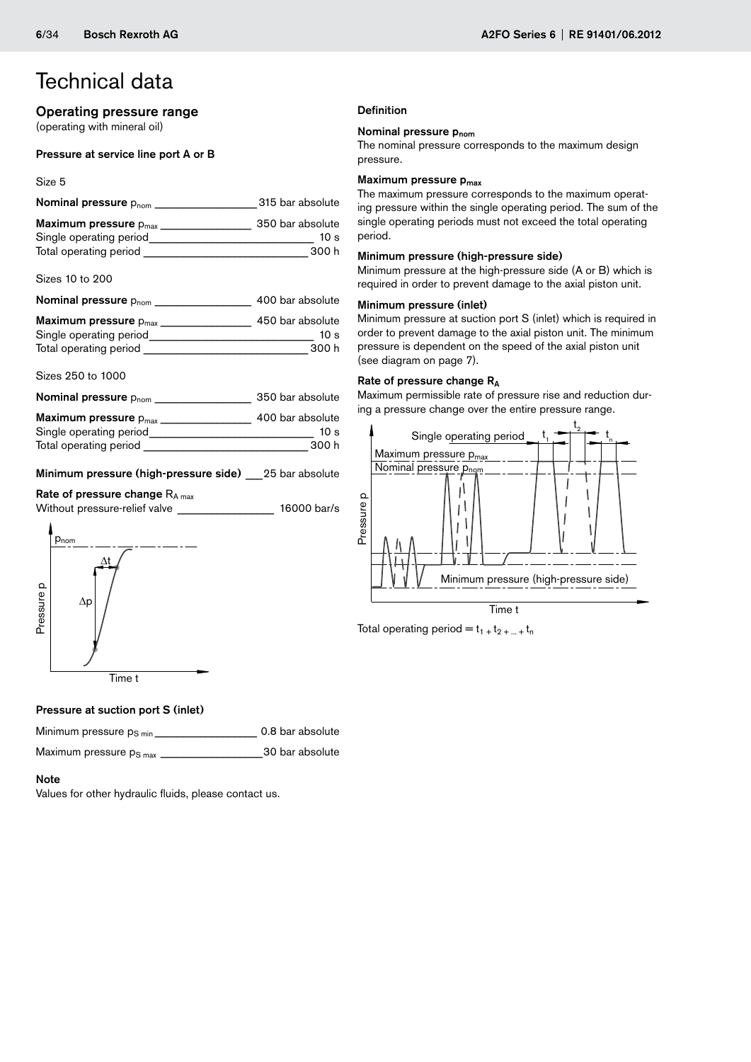### Operating pressure range

(operating with mineral oil)

### Pressure at service line port A or B

#### Size 5

| Nominal pressure $p_{\text{nom}}$                     | 315 bar absolute         |
|-------------------------------------------------------|--------------------------|
| Maximum pressure $p_{max}$<br>Single operating period | 350 bar absolute<br>10 s |
| Total operating period                                | 300 h                    |

Sizes 10 to 200

| Nominal pressure $p_{\text{nom}}$ $\_\_$ | 400 bar absolute |
|------------------------------------------|------------------|
| Maximum pressure $p_{max}$               | 450 bar absolute |
| Single operating period                  | 10 s             |
| Total operating period                   | 300 h            |

#### Sizes 250 to 1000

| Nominal pressure $p_{\text{nom}}$ | 350 bar absolute |
|-----------------------------------|------------------|
| Maximum pressure $p_{max}$        | 400 bar absolute |

| Single operating period | 10 s  |
|-------------------------|-------|
| Total operating period  | 300 h |

Minimum pressure (high-pressure side) 25 bar absolute

Rate of pressure change  $R_{A max}$ Without pressure-relief valve **Without pressure-relief valve 16000 bar/s** 



### **Definition**

### Nominal pressure p<sub>nom</sub>

The nominal pressure corresponds to the maximum design pressure.

### Maximum pressure p<sub>max</sub>

The maximum pressure corresponds to the maximum operating pressure within the single operating period. The sum of the single operating periods must not exceed the total operating period.

### Minimum pressure (high-pressure side)

Minimum pressure at the high-pressure side (A or B) which is required in order to prevent damage to the axial piston unit.

### Minimum pressure (inlet)

Minimum pressure at suction port S (inlet) which is required in order to prevent damage to the axial piston unit. The minimum pressure is dependent on the speed of the axial piston unit (see diagram on page 7).

### Rate of pressure change R<sub>A</sub>

Maximum permissible rate of pressure rise and reduction during a pressure change over the entire pressure range.



Total operating period =  $t_1 + t_2 + ... + t_n$ 

### Pressure at suction port S (inlet)

Minimum pressure p<sub>S min</sub> \_\_\_\_\_\_\_\_\_\_\_\_\_\_\_\_\_\_\_\_ 0.8 bar absolute

Maximum pressure pS max \_\_\_\_\_\_\_\_\_\_\_\_\_\_\_\_\_\_30 bar absolute

### Note

Values for other hydraulic fluids, please contact us.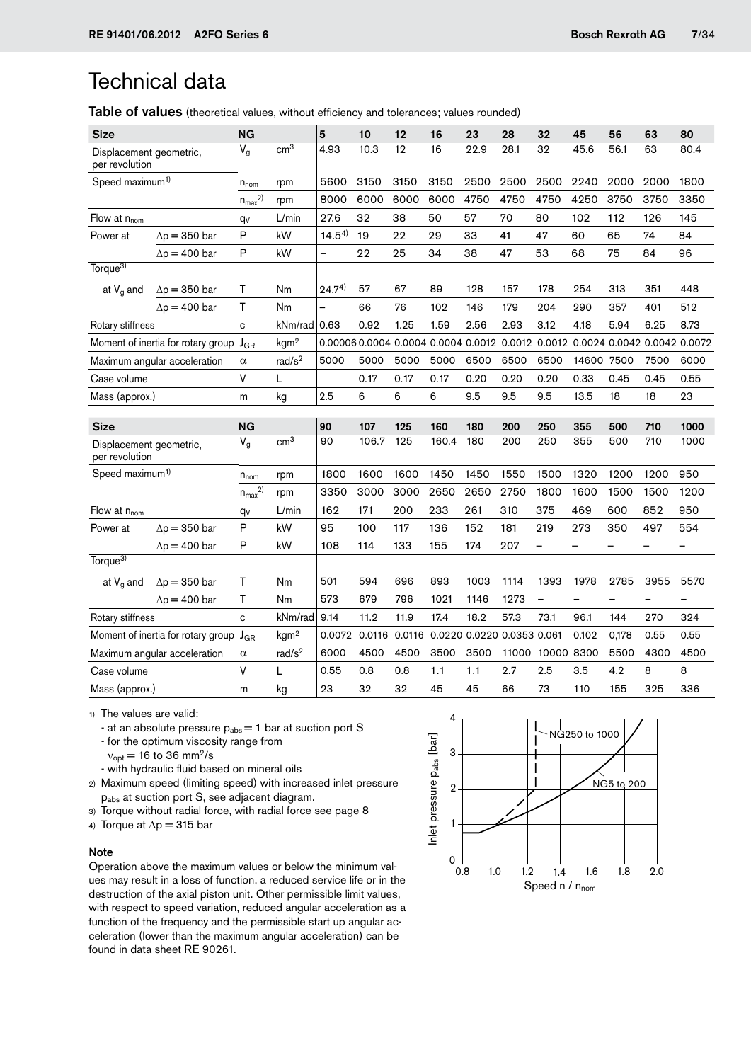Table of values (theoretical values, without efficiency and tolerances; values rounded)

| <b>Size</b>                               |                                             | NG            |                    | 5                                                                             | 10            | 12   | 16                         | 23   | 28    | 32                | 45                       | 56                       | 63                       | 80   |
|-------------------------------------------|---------------------------------------------|---------------|--------------------|-------------------------------------------------------------------------------|---------------|------|----------------------------|------|-------|-------------------|--------------------------|--------------------------|--------------------------|------|
| Displacement geometric,<br>per revolution |                                             | $V_g$         | cm <sup>3</sup>    | 4.93                                                                          | 10.3          | 12   | 16                         | 22.9 | 28.1  | 32                | 45.6                     | 56.1                     | 63                       | 80.4 |
| Speed maximum <sup>1)</sup>               |                                             | $n_{nom}$     | rpm                | 5600                                                                          | 3150          | 3150 | 3150                       | 2500 | 2500  | 2500              | 2240                     | 2000                     | 2000                     | 1800 |
|                                           |                                             | $n_{max}^{2}$ | rpm                | 8000                                                                          | 6000          | 6000 | 6000                       | 4750 | 4750  | 4750              | 4250                     | 3750                     | 3750                     | 3350 |
| Flow at $n_{\text{nom}}$                  |                                             | qv            | L/min              | 27.6                                                                          | 32            | 38   | 50                         | 57   | 70    | 80                | 102                      | 112                      | 126                      | 145  |
| Power at                                  | $\Delta p = 350$ bar                        | Ρ             | kW                 | $14.5^{4}$                                                                    | 19            | 22   | 29                         | 33   | 41    | 47                | 60                       | 65                       | 74                       | 84   |
|                                           | $\Delta p = 400$ bar                        | P             | kW                 | -                                                                             | 22            | 25   | 34                         | 38   | 47    | 53                | 68                       | 75                       | 84                       | 96   |
| Torque <sup>3)</sup>                      |                                             |               |                    |                                                                               |               |      |                            |      |       |                   |                          |                          |                          |      |
| at $V_g$ and                              | $\Delta p = 350$ bar                        | Τ             | Nm                 | $24.7^{4}$                                                                    | 57            | 67   | 89                         | 128  | 157   | 178               | 254                      | 313                      | 351                      | 448  |
|                                           | $\Delta p = 400$ bar                        | Τ             | Nm                 | -                                                                             | 66            | 76   | 102                        | 146  | 179   | 204               | 290                      | 357                      | 401                      | 512  |
| Rotary stiffness                          |                                             | C             | kNm/rad            | 0.63                                                                          | 0.92          | 1.25 | 1.59                       | 2.56 | 2.93  | 3.12              | 4.18                     | 5.94                     | 6.25                     | 8.73 |
|                                           | Moment of inertia for rotary group          | $J_{GR}$      | kgm <sup>2</sup>   | 0.00006 0.0004 0.0004 0.0004 0.0012 0.0012 0.0012 0.0024 0.0042 0.0042 0.0072 |               |      |                            |      |       |                   |                          |                          |                          |      |
|                                           | Maximum angular acceleration                | $\alpha$      | rad/s <sup>2</sup> | 5000                                                                          | 5000          | 5000 | 5000                       | 6500 | 6500  | 6500              | 14600                    | 7500                     | 7500                     | 6000 |
| Case volume                               |                                             | V             | L                  |                                                                               | 0.17          | 0.17 | 0.17                       | 0.20 | 0.20  | 0.20              | 0.33                     | 0.45                     | 0.45                     | 0.55 |
| Mass (approx.)                            |                                             | m             | kg                 | 2.5                                                                           | 6             | 6    | 6                          | 9.5  | 9.5   | 9.5               | 13.5                     | 18                       | 18                       | 23   |
|                                           |                                             |               |                    |                                                                               |               |      |                            |      |       |                   |                          |                          |                          |      |
|                                           |                                             |               |                    |                                                                               |               |      |                            |      |       |                   |                          |                          |                          |      |
| Size                                      |                                             | <b>NG</b>     |                    | 90                                                                            | 107           | 125  | 160                        | 180  | 200   | 250               | 355                      | 500                      | 710                      | 1000 |
| Displacement geometric,<br>per revolution |                                             | $V_g$         | cm <sup>3</sup>    | 90                                                                            | 106.7         | 125  | 160.4                      | 180  | 200   | 250               | 355                      | 500                      | 710                      | 1000 |
| Speed maximum <sup>1)</sup>               |                                             | $n_{nom}$     | rpm                | 1800                                                                          | 1600          | 1600 | 1450                       | 1450 | 1550  | 1500              | 1320                     | 1200                     | 1200                     | 950  |
|                                           |                                             | $n_{max}^{2}$ | rpm                | 3350                                                                          | 3000          | 3000 | 2650                       | 2650 | 2750  | 1800              | 1600                     | 1500                     | 1500                     | 1200 |
| Flow at $n_{nom}$                         |                                             | $q_V$         | L/min              | 162                                                                           | 171           | 200  | 233                        | 261  | 310   | 375               | 469                      | 600                      | 852                      | 950  |
| Power at                                  | $\Delta p = 350$ bar                        | P             | kW                 | 95                                                                            | 100           | 117  | 136                        | 152  | 181   | 219               | 273                      | 350                      | 497                      | 554  |
|                                           | $\Delta p = 400$ bar                        | P             | kW                 | 108                                                                           | 114           | 133  | 155                        | 174  | 207   |                   | -                        |                          |                          |      |
| Torque <sup>3)</sup>                      |                                             |               |                    |                                                                               |               |      |                            |      |       |                   |                          |                          |                          |      |
| at $V_g$ and                              | $\Delta p = 350$ bar                        | Т             | Nm                 | 501                                                                           | 594           | 696  | 893                        | 1003 | 1114  | 1393              | 1978                     | 2785                     | 3955                     | 5570 |
|                                           | $\Delta p = 400$ bar                        | T             | Nm                 | 573                                                                           | 679           | 796  | 1021                       | 1146 | 1273  | $\qquad \qquad -$ | $\overline{\phantom{0}}$ | $\overline{\phantom{0}}$ | $\overline{\phantom{0}}$ | —    |
| Rotary stiffness                          |                                             | $\mathbf{C}$  | kNm/rad            | 9.14                                                                          | 11.2          | 11.9 | 17.4                       | 18.2 | 57.3  | 73.1              | 96.1                     | 144                      | 270                      | 324  |
|                                           | Moment of inertia for rotary group $J_{GR}$ |               | kgm <sup>2</sup>   | 0.0072                                                                        | 0.0116 0.0116 |      | 0.0220 0.0220 0.0353 0.061 |      |       |                   | 0.102                    | 0,178                    | 0.55                     | 0.55 |
|                                           | Maximum angular acceleration                | $\alpha$      | rad/s <sup>2</sup> | 6000                                                                          | 4500          | 4500 | 3500                       | 3500 | 11000 | 10000 8300        |                          | 5500                     | 4300                     | 4500 |
| Case volume                               |                                             | ۷             | L                  | 0.55                                                                          | 0.8           | 0.8  | 1.1                        | 1.1  | 2.7   | 2.5               | 3.5                      | 4.2                      | 8                        | 8    |

1) The values are valid:

- at an absolute pressure  $p_{\text{abs}} = 1$  bar at suction port S
- for the optimum viscosity range from
- $v_{opt}$  = 16 to 36 mm<sup>2</sup>/s
- with hydraulic fluid based on mineral oils
- 2) Maximum speed (limiting speed) with increased inlet pressure pabs at suction port S, see adjacent diagram.
- 3) Torque without radial force, with radial force see page 8
- 4) Torque at  $\Delta p = 315$  bar

### Note

Operation above the maximum values or below the minimum values may result in a loss of function, a reduced service life or in the destruction of the axial piston unit. Other permissible limit values, with respect to speed variation, reduced angular acceleration as a function of the frequency and the permissible start up angular acceleration (lower than the maximum angular acceleration) can be found in data sheet RE 90261.

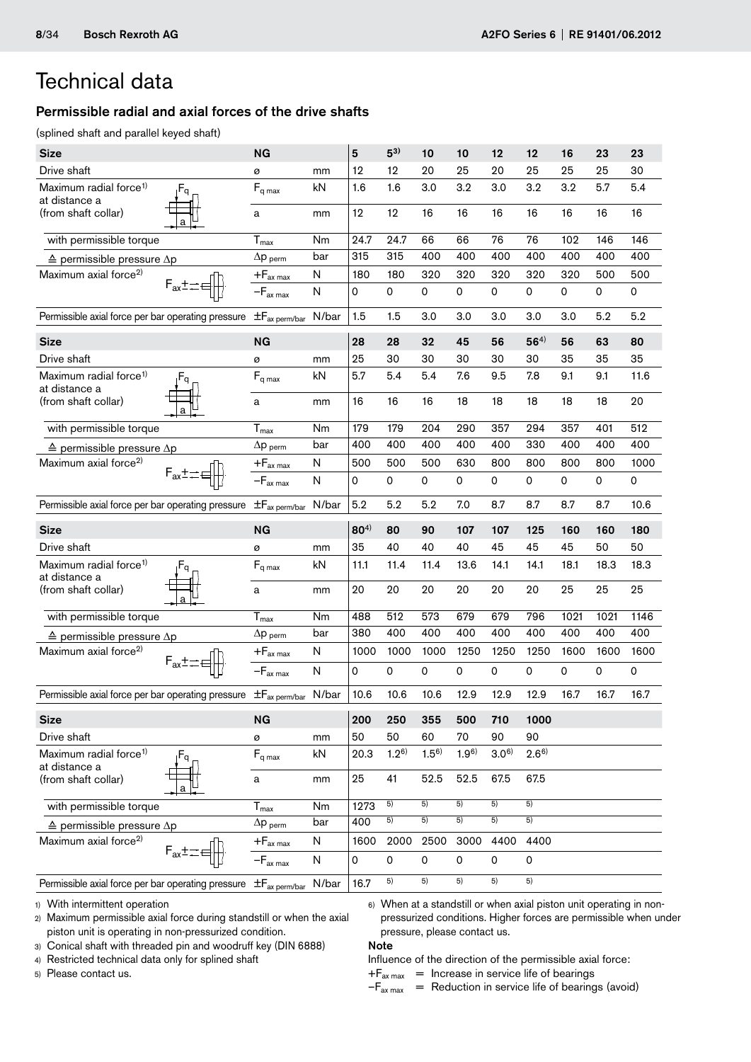### Permissible radial and axial forces of the drive shafts

(splined shaft and parallel keyed shaft)

| <b>Size</b>                                                                      |                           | NG                                          |              | 5            | $5^{3}$         | 10              | 10              | 12                  | 12              | 16   | 23                  | 23   |
|----------------------------------------------------------------------------------|---------------------------|---------------------------------------------|--------------|--------------|-----------------|-----------------|-----------------|---------------------|-----------------|------|---------------------|------|
| Drive shaft                                                                      |                           | ø                                           | mm           | 12           | 12              | 20              | 25              | 20                  | 25              | 25   | 25                  | 30   |
| Maximum radial force <sup>1)</sup><br>at distance a                              | $F_q$                     | $F_{\mathsf{q}\, \mathsf{max}}$             | kN           | 1.6          | 1.6             | 3.0             | 3.2             | 3.0                 | 3.2             | 3.2  | 5.7                 | 5.4  |
| (from shaft collar)                                                              |                           | a                                           | mm           | 12           | 12              | 16              | 16              | 16                  | 16              | 16   | 16                  | 16   |
| with permissible torque                                                          |                           | $T_{max}$                                   | Nm           | 24.7         | 24.7            | 66              | 66              | 76                  | 76              | 102  | 146                 | 146  |
| $\triangle$ permissible pressure $\Delta p$                                      |                           | $\Delta p$ perm                             | bar          | 315          | 315             | 400             | 400             | 400                 | 400             | 400  | 400                 | 400  |
| Maximum axial force <sup>2)</sup>                                                |                           | $+F_{ax\ max}$                              | N            | 180          | 180             | 320             | 320             | 320                 | 320             | 320  | 500                 | 500  |
|                                                                                  |                           | $-F_{ax max}$                               | $\mathsf{N}$ | 0            | 0               | 0               | 0               | 0                   | $\mathsf{o}$    | 0    | $\mathbf 0$         | 0    |
| Permissible axial force per bar operating pressure                               |                           | $\pm F_{ax\,perm/bar}$ N/bar                |              | 1.5          | 1.5             | 3.0             | 3.0             | 3.0                 | 3.0             | 3.0  | 5.2                 | 5.2  |
| <b>Size</b>                                                                      |                           | <b>NG</b>                                   |              | 28           | 28              | 32              | 45              | 56                  | $56^{4)}$       | 56   | 63                  | 80   |
| Drive shaft                                                                      |                           | ø                                           | mm           | 25           | 30              | 30              | 30              | 30                  | 30              | 35   | 35                  | 35   |
| Maximum radial force <sup>1)</sup><br>at distance a                              | $F_q$                     | $F_{q \text{ max}}$                         | kN           | 5.7          | 5.4             | 5.4             | 7.6             | 9.5                 | 7.8             | 9.1  | 9.1                 | 11.6 |
| (from shaft collar)                                                              |                           | a                                           | mm           | 16           | 16              | 16              | 18              | 18                  | 18              | 18   | 18                  | 20   |
| with permissible torque                                                          |                           | $T_{\text{max}}$                            | Nm           | 179          | 179             | 204             | 290             | 357                 | 294             | 357  | 401                 | 512  |
| $\triangle$ permissible pressure $\Delta p$                                      |                           | $\Delta p$ perm                             | bar          | 400          | 400             | 400             | 400             | 400                 | 330             | 400  | 400                 | 400  |
| Maximum axial force <sup>2)</sup>                                                |                           | $+F_{ax \max}$                              | N            | 500          | 500             | 500             | 630             | 800                 | 800             | 800  | 800                 | 1000 |
|                                                                                  | $F_{ax} \pm \pm \epsilon$ | $-F_{ax max}$                               | N            | 0            | 0               | 0               | 0               | $\mathsf{O}\xspace$ | 0               | 0    | $\mathsf{O}\xspace$ | 0    |
| Permissible axial force per bar operating pressure                               |                           | $\pm F_{\rm ax\ perm/bar}$                  | N/bar        | 5.2          | 5.2             | 5.2             | 7.0             | 8.7                 | 8.7             | 8.7  | 8.7                 | 10.6 |
|                                                                                  |                           |                                             |              |              |                 |                 |                 |                     |                 |      |                     |      |
| <b>Size</b>                                                                      |                           | NG                                          |              | $80^{4}$     | 80              | 90              | 107             | 107                 | 125             | 160  | 160                 | 180  |
| Drive shaft                                                                      |                           | ø                                           | mm           | 35           | 40              | 40              | 40              | 45                  | 45              | 45   | 50                  | 50   |
| Maximum radial force <sup>1)</sup>                                               | $F_q$                     | $\mathsf{F}_{\mathsf{q} \, \mathsf{max}}$   | kN           | 11.1         | 11.4            | 11.4            | 13.6            | 14.1                | 14.1            | 18.1 | 18.3                | 18.3 |
| at distance a<br>(from shaft collar)                                             |                           | a                                           | mm           | 20           | 20              | 20              | 20              | 20                  | 20              | 25   | 25                  | 25   |
| with permissible torque                                                          |                           |                                             | Nm           | 488          | 512             | 573             | 679             | 679                 | 796             | 1021 | 1021                | 1146 |
| $\triangle$ permissible pressure $\Delta p$                                      |                           | $\tilde{T}_{\text{max}}$<br>$\Delta p$ perm | bar          | 380          | 400             | 400             | 400             | 400                 | 400             | 400  | 400                 | 400  |
| Maximum axial force <sup>2)</sup>                                                |                           | $+F_{ax\,max}$                              | N            | 1000         | 1000            | 1000            | 1250            | 1250                | 1250            | 1600 | 1600                | 1600 |
|                                                                                  |                           | $-F_{ax \, max}$                            | $\mathsf{N}$ | 0            | 0               | 0               | 0               | 0                   | 0               | 0    | $\pmb{0}$           | 0    |
| Permissible axial force per bar operating pressure $\pm F_{ax\, perm/bar}$ N/bar |                           |                                             |              | 10.6         | 10.6            | 10.6            | 12.9            | 12.9                | 12.9            | 16.7 | 16.7                | 16.7 |
| <b>Size</b>                                                                      |                           | <b>NG</b>                                   |              | 200          | 250             | 355             | 500             | 710                 | 1000            |      |                     |      |
| Drive shaft                                                                      |                           | ø                                           | mm           | 50           | 50              | 60              | 70              | 90                  | 90              |      |                     |      |
| Maximum radial force <sup>1)</sup>                                               | $F_q$                     | $F_{q \text{ max}}$                         | kN           | 20.3         | $1.2^{6}$       | $1.5^{6}$       | 1.96            | $3.0^{6}$           | $2.6^{6}$       |      |                     |      |
| at distance a<br>(from shaft collar)                                             |                           | a                                           | mm           | 25           | 41              | 52.5            | 52.5            | 67.5                | 67.5            |      |                     |      |
| with permissible torque                                                          |                           | $T_{\text{max}}$                            | Nm           | 1273         | 5)              | 5)              | 5)              | 5)                  | 5)              |      |                     |      |
| $\triangle$ permissible pressure $\Delta p$                                      |                           | $\Delta p$ perm                             | bar          | 400          | $\overline{5)}$ | $\overline{5)}$ | $\overline{5)}$ | $\overline{5)}$     | $\overline{5)}$ |      |                     |      |
| Maximum axial force <sup>2)</sup>                                                |                           | $+F_{ax\,max}$                              | N            | 1600         | 2000            | 2500            | 3000            | 4400                | 4400            |      |                     |      |
|                                                                                  |                           | $-\mathsf{F}_{\mathsf{ax} \; \mathsf{max}}$ | N            | $\mathsf{O}$ | $\mathsf{o}$    | 0               | $\mathbf 0$     | $\mathbf 0$         | $\mathsf{o}$    |      |                     |      |

1) With intermittent operation

2) Maximum permissible axial force during standstill or when the axial piston unit is operating in non-pressurized condition.

3) Conical shaft with threaded pin and woodruff key (DIN 6888)

4) Restricted technical data only for splined shaft

5) Please contact us.

### Note

Influence of the direction of the permissible axial force:

6) When at a standstill or when axial piston unit operating in nonpressurized conditions. Higher forces are permissible when under

 $+F_{ax \, max}$  = Increase in service life of bearings

pressure, please contact us.

 $-F_{ax \, max}$  = Reduction in service life of bearings (avoid)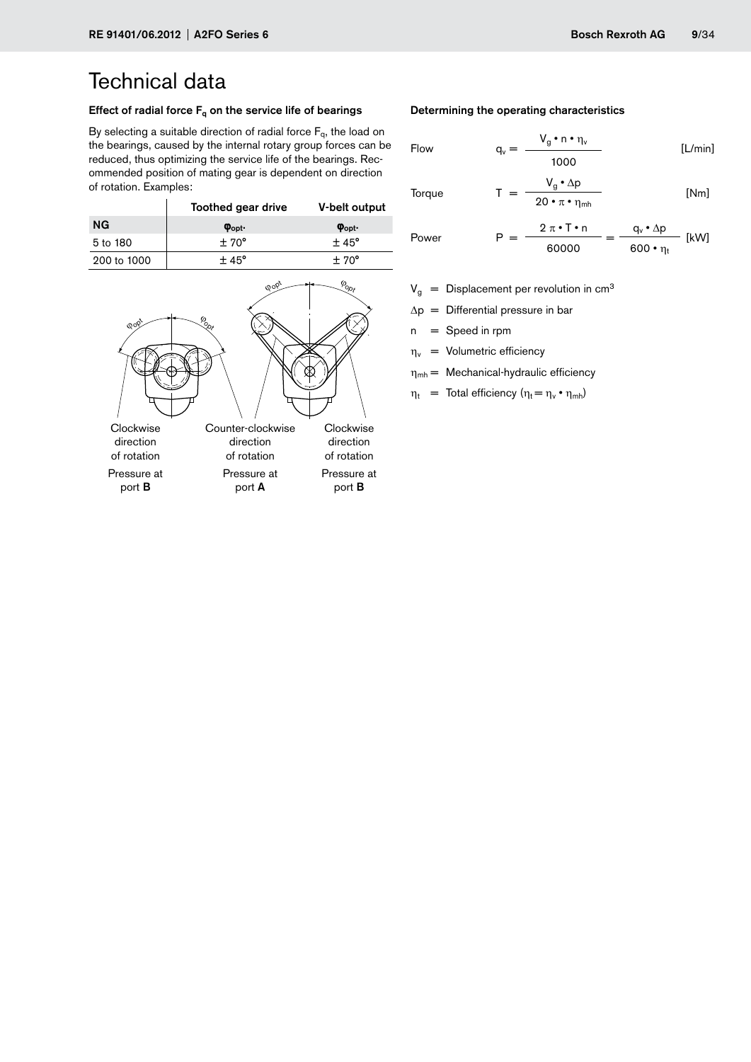### Effect of radial force  $F_q$  on the service life of bearings

By selecting a suitable direction of radial force  $F_q$ , the load on the bearings, caused by the internal rotary group forces can be reduced, thus optimizing the service life of the bearings. Recommended position of mating gear is dependent on direction of rotation. Examples:

|             | Toothed gear drive     | V-belt output          |
|-------------|------------------------|------------------------|
| <b>NG</b>   | $\varphi_{\text{opt}}$ | $\varphi_{\text{opt}}$ |
| 5 to 180    | $+70^{\circ}$          | $+45^{\circ}$          |
| 200 to 1000 | $+45^{\circ}$          | $+70^{\circ}$          |



### Determining the operating characteristics

Flow 
$$
q_v = \frac{V_g \cdot n \cdot \eta_v}{1000}
$$
 [L/min]

**Torque** 

 $T = \frac{V_g \cdot \Delta p}{20 \cdot \pi \cdot \eta_{mh}}$  [Nm]

Power 
$$
P = \frac{2 \pi \cdot T \cdot n}{60000} = \frac{q_v \cdot \Delta p}{600 \cdot \eta_t}
$$
 [kW]

- $V<sub>g</sub>$  = Displacement per revolution in cm<sup>3</sup>
- $\Delta p =$  Differential pressure in bar
- $n =$ Speed in rpm
- $\eta_v$  = Volumetric efficiency
- $\eta_{mh}$  = Mechanical-hydraulic efficiency
- $\eta_t$  = Total efficiency ( $\eta_t = \eta_v \cdot \eta_{mh}$ )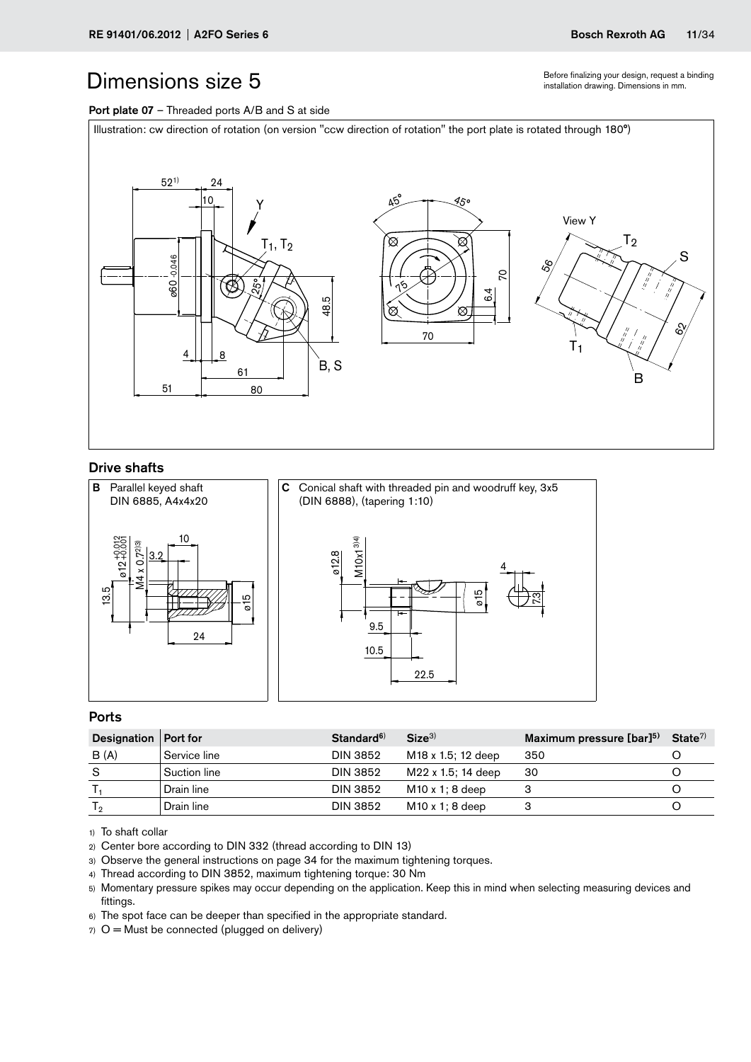Before finalizing your design, request a binding installation drawing. Dimensions in mm.

### <span id="page-10-0"></span>Port plate 07 - Threaded ports A/B and S at side

Illustration: cw direction of rotation (on version "ccw direction of rotation" the port plate is rotated through 180°)



### Drive shafts



### Ports

| Designation   Port for |              | Standard <sup>6)</sup> | Size <sup>3</sup>              | Maximum pressure $[bar]^{5}$ State <sup>7)</sup> |  |
|------------------------|--------------|------------------------|--------------------------------|--------------------------------------------------|--|
| B(A)                   | Service line | DIN 3852               | M <sub>18</sub> x 1.5; 12 deep | 350                                              |  |
| -S                     | Suction line | <b>DIN 3852</b>        | M22 x 1.5; 14 deep             | 30                                               |  |
|                        | Drain line   | DIN 3852               | $M10 \times 1$ ; 8 deep        |                                                  |  |
| T <sub>2</sub>         | Drain line   | <b>DIN 3852</b>        | $M10 \times 1$ ; 8 deep        |                                                  |  |

1) To shaft collar

- 2) Center bore according to DIN 332 (thread according to DIN 13)
- 3) Observe the general instructions on page 34 for the maximum tightening torques.
- 4) Thread according to DIN 3852, maximum tightening torque: 30 Nm
- 5) Momentary pressure spikes may occur depending on the application. Keep this in mind when selecting measuring devices and fittings.
- 6) The spot face can be deeper than specified in the appropriate standard.
- $7)$  O = Must be connected (plugged on delivery)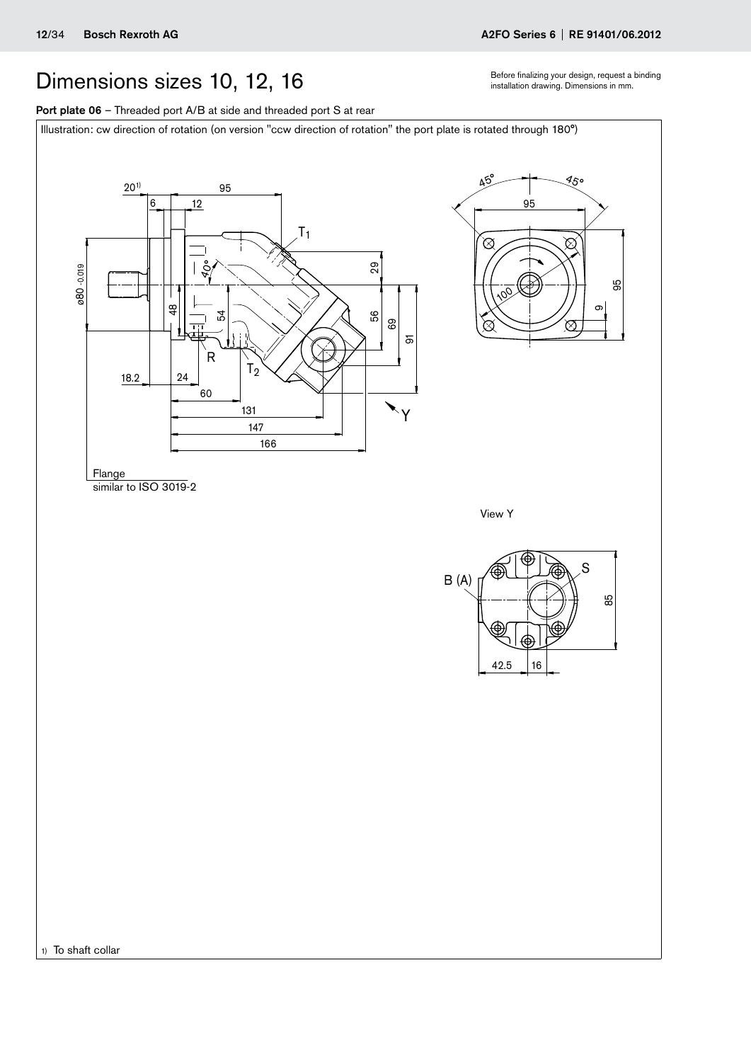## <span id="page-11-0"></span>Dimensions sizes 10, 12, 16 Before finalizing your design, request a binding Dimensions in mm.

Port plate 06 - Threaded port A/B at side and threaded port S at rear

Illustration: cw direction of rotation (on version "ccw direction of rotation" the port plate is rotated through 180°)



1) To shaft collar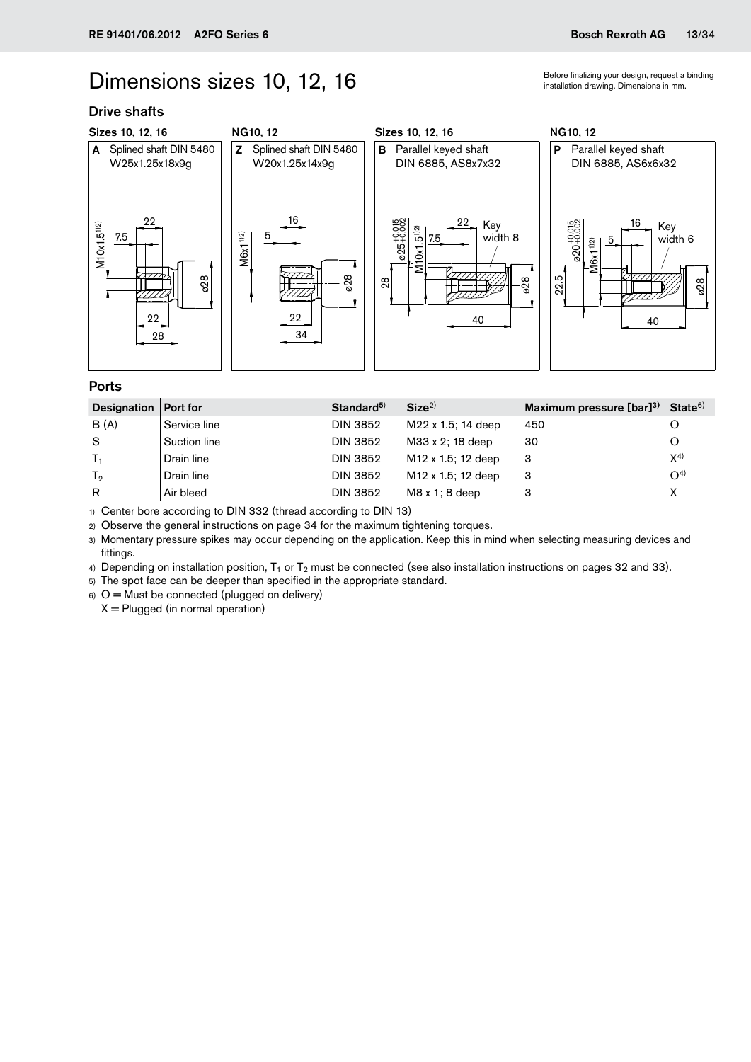## Dimensions sizes 10, 12, 16 **installation drawing. Dimensions in mm.**

### Drive shafts



### Ports

| Designation | Port for     | Standard <sup>5)</sup> | Size <sup>2</sup>              | Maximum pressure $[bar]^{3)}$ State <sup>6)</sup> |          |
|-------------|--------------|------------------------|--------------------------------|---------------------------------------------------|----------|
| B(A)        | Service line | <b>DIN 3852</b>        | M22 x 1.5; 14 deep             | 450                                               |          |
| S           | Suction line | DIN 3852               | M33 x 2: 18 deep               | 30                                                |          |
|             | Drain line   | DIN 3852               | M <sub>12</sub> x 1.5; 12 deep | З                                                 | $X^{4)}$ |
| Тջ          | Drain line   | DIN 3852               | M <sub>12</sub> x 1.5; 12 deep | 3                                                 | $O^{4}$  |
| R           | Air bleed    | DIN 3852               | $M8x1:8$ deep                  |                                                   |          |

1) Center bore according to DIN 332 (thread according to DIN 13)

2) Observe the general instructions on page 34 for the maximum tightening torques.

3) Momentary pressure spikes may occur depending on the application. Keep this in mind when selecting measuring devices and fittings.

4) Depending on installation position,  $T_1$  or  $T_2$  must be connected (see also installation instructions on pages 32 and 33).

5) The spot face can be deeper than specified in the appropriate standard.

 $6)$  O = Must be connected (plugged on delivery)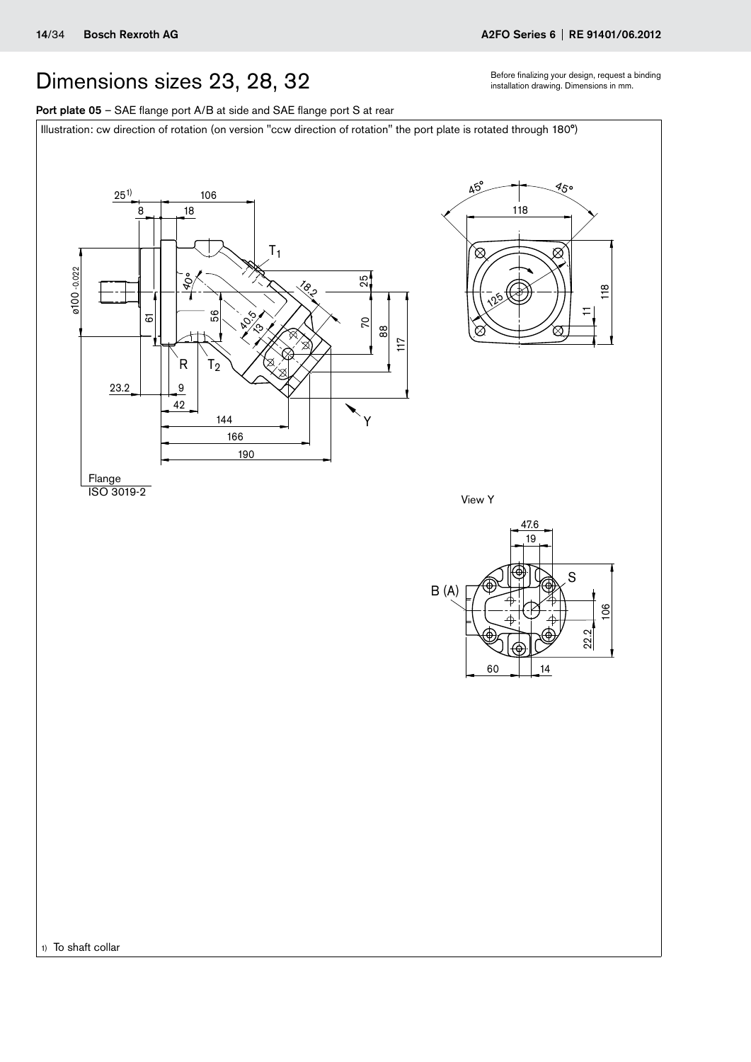## <span id="page-13-0"></span>Dimensions sizes 23, 28, 32 **Executed Second Translation** drawing. Dimensions in mm.

Port plate 05 - SAE flange port A/B at side and SAE flange port S at rear

Illustration: cw direction of rotation (on version "ccw direction of rotation" the port plate is rotated through 180°)

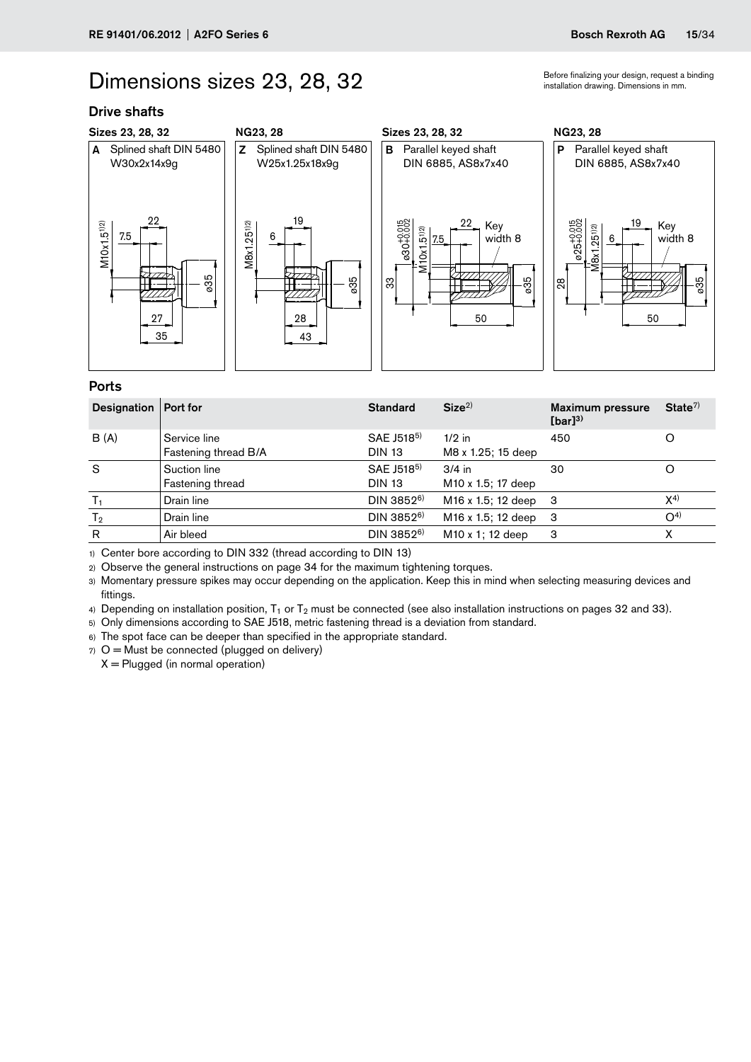## Dimensions sizes 23, 28, 32 **installation drawing. Dimensions in mm.**

### Drive shafts



### Ports

| Designation    | Port for                             | <b>Standard</b>                         | Size <sup>2</sup>                          | <b>Maximum pressure</b><br>$[bar]^{3)}$ | State <sup>7</sup> |
|----------------|--------------------------------------|-----------------------------------------|--------------------------------------------|-----------------------------------------|--------------------|
| B(A)           | Service line<br>Fastening thread B/A | SAE J518 <sup>5)</sup><br><b>DIN 13</b> | $1/2$ in<br>M8 x 1.25; 15 deep             | 450                                     |                    |
| S              | Suction line<br>Fastening thread     | SAE J518 <sup>5)</sup><br><b>DIN 13</b> | $3/4$ in<br>M <sub>10</sub> x 1.5; 17 deep | 30                                      |                    |
| $T_1$          | Drain line                           | $DIN 3852^{6}$                          | M <sub>16</sub> x 1.5; 12 deep 3           |                                         | $X^{4)}$           |
| T <sub>2</sub> | Drain line                           | $DIN 3852^{6}$                          | M16 x 1.5; 12 deep                         | -3                                      | $O^{4}$            |
| R              | Air bleed                            | DIN 3852 <sup>6)</sup>                  | M <sub>10</sub> x 1; 12 deep               | З                                       |                    |

1) Center bore according to DIN 332 (thread according to DIN 13)

2) Observe the general instructions on page 34 for the maximum tightening torques.

3) Momentary pressure spikes may occur depending on the application. Keep this in mind when selecting measuring devices and fittings.

4) Depending on installation position,  $T_1$  or  $T_2$  must be connected (see also installation instructions on pages 32 and 33).

5) Only dimensions according to SAE J518, metric fastening thread is a deviation from standard.

6) The spot face can be deeper than specified in the appropriate standard.

 $7)$  O = Must be connected (plugged on delivery)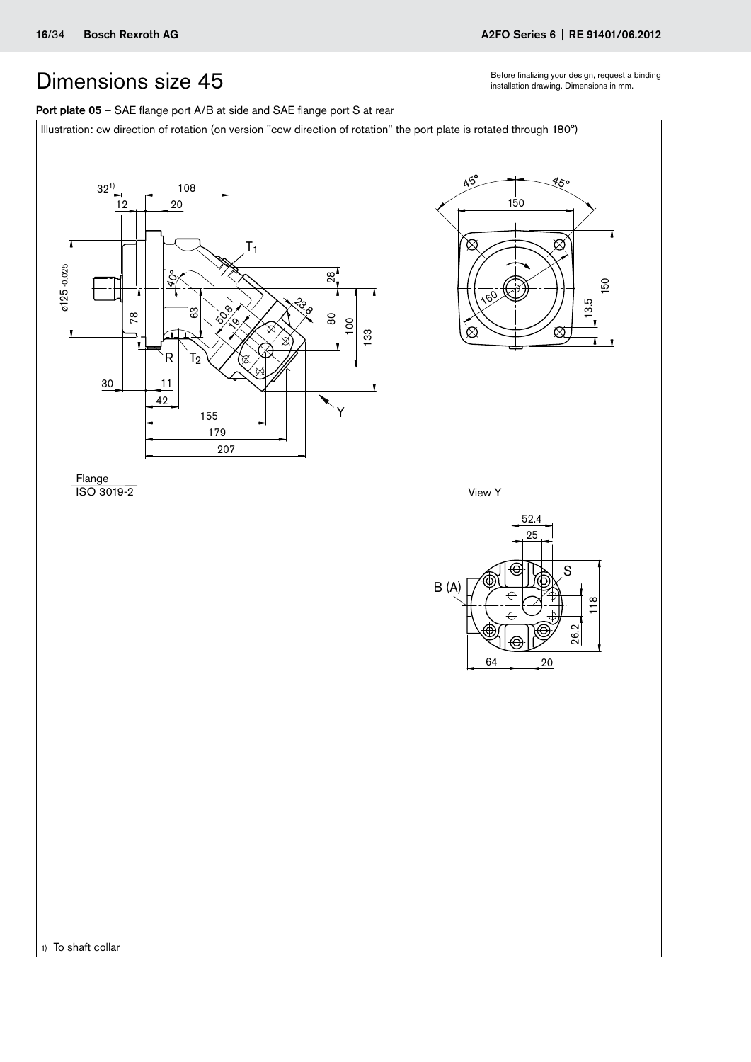Before finalizing your design, request a binding installation drawing. Dimensions in mm.

45°

 $\otimes$ 

⊠

150

13.5

### <span id="page-15-0"></span>Port plate 05 - SAE flange port A/B at side and SAE flange port S at rear

Illustration: cw direction of rotation (on version "ccw direction of rotation" the port plate is rotated through 180°)



Flange ISO 3019-2

View Y

 $160$ 

150

 $45^\circ$ 

⊠

⊗



1) To shaft collar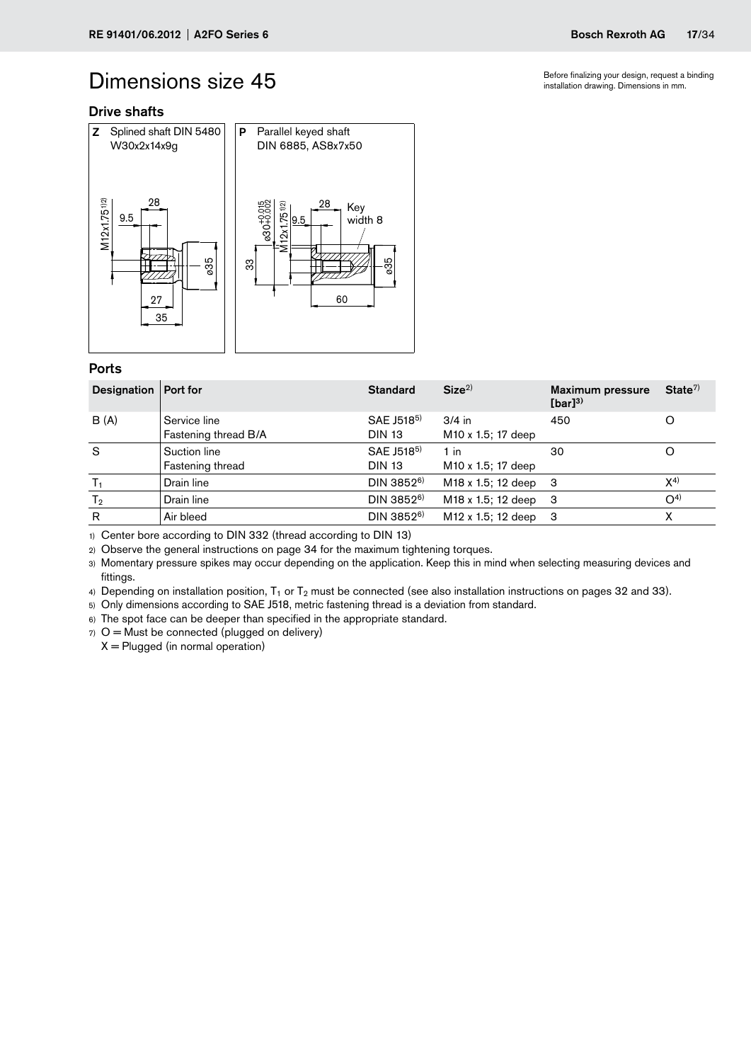Before finalizing your design, request a binding installation drawing. Dimensions in mm.

### Drive shafts



### Ports

| Designation   Port for |                                      | <b>Standard</b>                         | Size <sup>2</sup>                          | <b>Maximum pressure</b><br>$[bar]^{3)}$ | State <sup>7</sup> |
|------------------------|--------------------------------------|-----------------------------------------|--------------------------------------------|-----------------------------------------|--------------------|
| B(A)                   | Service line<br>Fastening thread B/A | SAE J518 <sup>5)</sup><br><b>DIN 13</b> | $3/4$ in<br>M <sub>10</sub> x 1.5; 17 deep | 450                                     | O                  |
| S                      | Suction line<br>Fastening thread     | SAE J518 <sup>5)</sup><br><b>DIN 13</b> | $1$ in<br>M <sub>10</sub> x 1.5; 17 deep   | 30                                      |                    |
|                        | Drain line                           | DIN 3852 <sup>6)</sup>                  | M <sub>18</sub> x 1.5; 12 deep             | -3                                      | $X^{(4)}$          |
| T <sub>2</sub>         | Drain line                           | DIN 3852 <sup>6)</sup>                  | M18 x 1.5; 12 deep                         | -3                                      | O <sup>4</sup>     |
| $\mathsf{R}$           | Air bleed                            | DIN 3852 <sup>6)</sup>                  | M <sub>12</sub> x 1.5; 12 deep             | -3                                      |                    |

1) Center bore according to DIN 332 (thread according to DIN 13)

2) Observe the general instructions on page 34 for the maximum tightening torques.

3) Momentary pressure spikes may occur depending on the application. Keep this in mind when selecting measuring devices and fittings.

4) Depending on installation position,  $T_1$  or  $T_2$  must be connected (see also installation instructions on pages 32 and 33).

5) Only dimensions according to SAE J518, metric fastening thread is a deviation from standard.

6) The spot face can be deeper than specified in the appropriate standard.

 $7)$  O = Must be connected (plugged on delivery)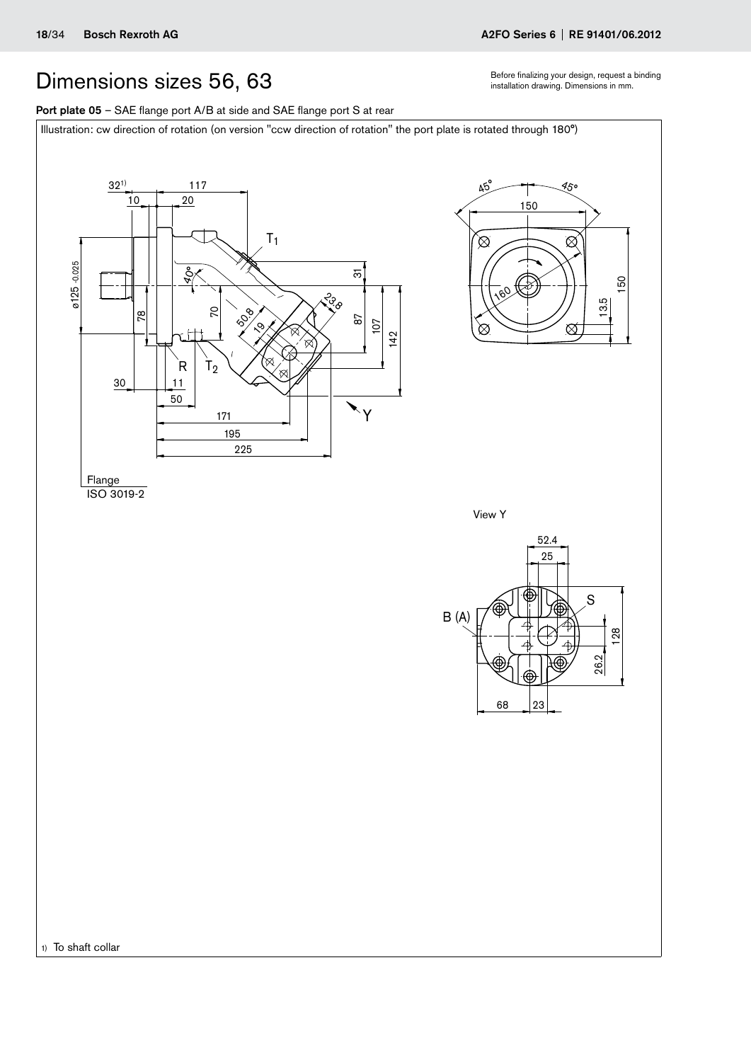## <span id="page-17-0"></span>Dimensions sizes 56, 63 **installation drawing. Dimensions in mm.**

Port plate 05 - SAE flange port A/B at side and SAE flange port S at rear

Illustration: cw direction of rotation (on version "ccw direction of rotation" the port plate is rotated through 180°)

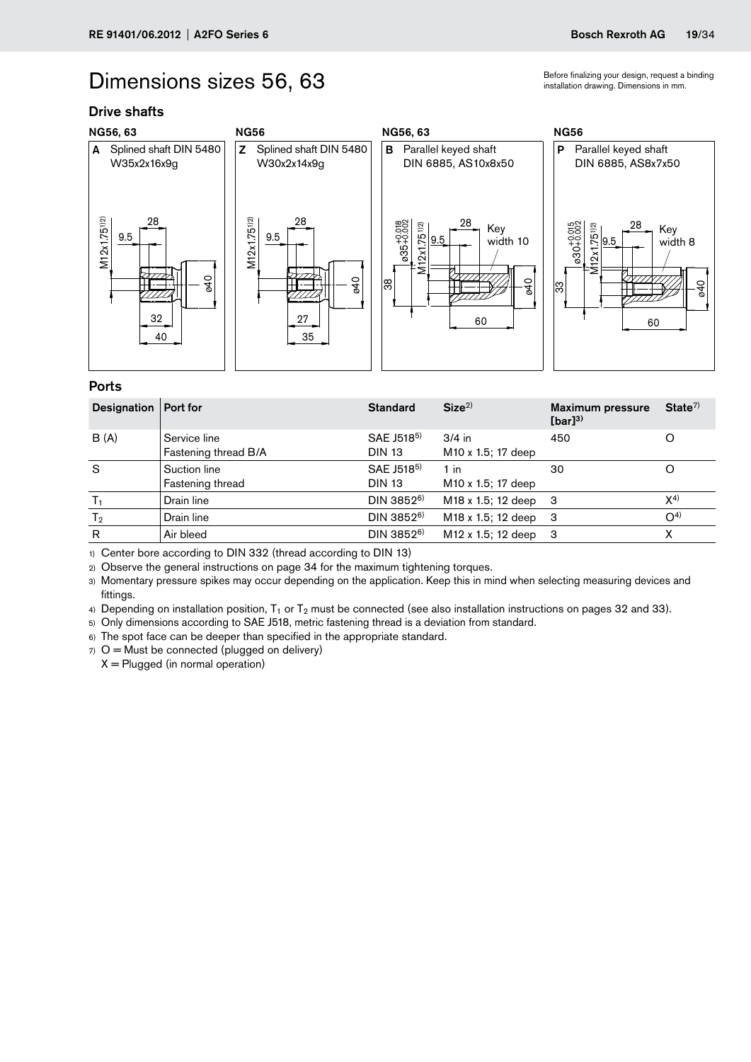## Dimensions sizes 56, 63 installation drawing. Dimensions in mm.

### Drive shafts



### Ports

| Designation   Port for |                                      | <b>Standard</b>                         | Size <sup>2</sup>                          | <b>Maximum pressure</b><br>$[bar]^{3)}$ | State <sup>7</sup> |
|------------------------|--------------------------------------|-----------------------------------------|--------------------------------------------|-----------------------------------------|--------------------|
| B(A)                   | Service line<br>Fastening thread B/A | SAE J518 <sup>5)</sup><br><b>DIN 13</b> | $3/4$ in<br>M <sub>10</sub> x 1.5; 17 deep | 450                                     |                    |
| S                      | Suction line<br>Fastening thread     | SAE J518 <sup>5)</sup><br><b>DIN 13</b> | $1$ in<br>M <sub>10</sub> x 1.5; 17 deep   | 30                                      |                    |
| $T_1$                  | Drain line                           | DIN 3852 <sup>6)</sup>                  | M <sub>18</sub> x 1.5; 12 deep 3           |                                         | $X^{4)}$           |
| T <sub>2</sub>         | Drain line                           | $DIN 3852^{6}$                          | M18 x 1.5; 12 deep                         | -3                                      | $O^{4}$            |
| R                      | Air bleed                            | DIN 3852 <sup>6)</sup>                  | M <sub>12</sub> x 1.5; 12 deep             | -3                                      |                    |

1) Center bore according to DIN 332 (thread according to DIN 13)

2) Observe the general instructions on page 34 for the maximum tightening torques.

3) Momentary pressure spikes may occur depending on the application. Keep this in mind when selecting measuring devices and fittings.

4) Depending on installation position,  $T_1$  or  $T_2$  must be connected (see also installation instructions on pages 32 and 33).

5) Only dimensions according to SAE J518, metric fastening thread is a deviation from standard.

6) The spot face can be deeper than specified in the appropriate standard.

 $7)$  O = Must be connected (plugged on delivery)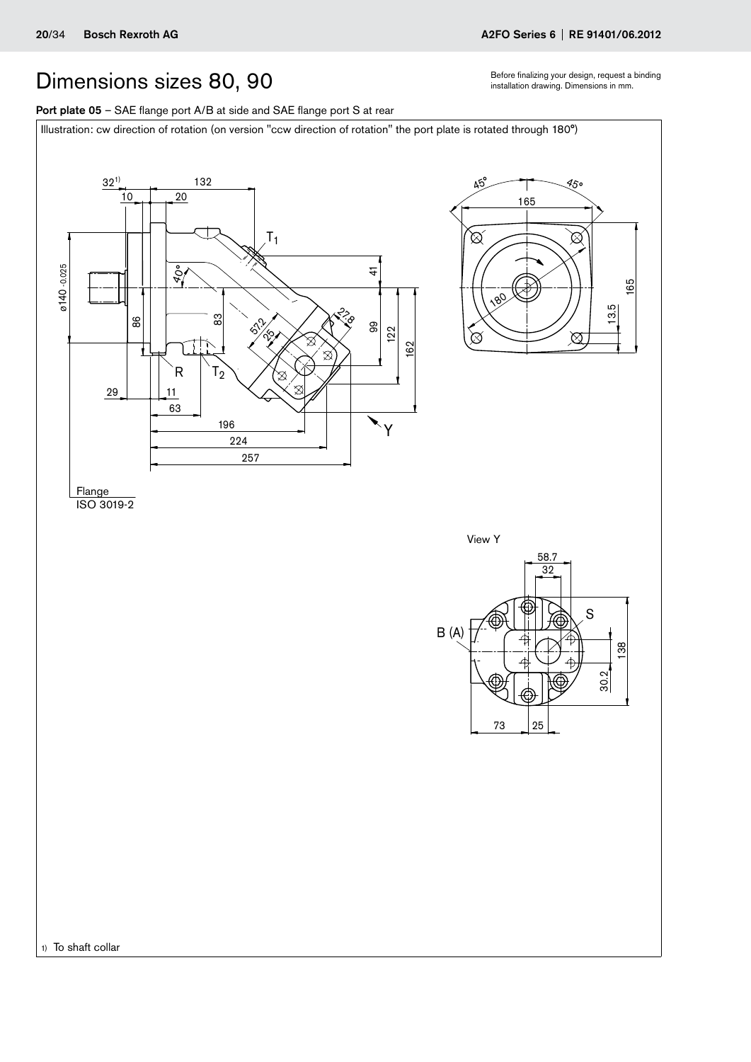## <span id="page-19-0"></span>Dimensions sizes 80, 90 sefore finalizing your design, request a binding pour design, request a binding  $B$  installation drawing. Dimensions in mm.

Port plate 05 - SAE flange port A/B at side and SAE flange port S at rear

Illustration: cw direction of rotation (on version "ccw direction of rotation" the port plate is rotated through 180°)

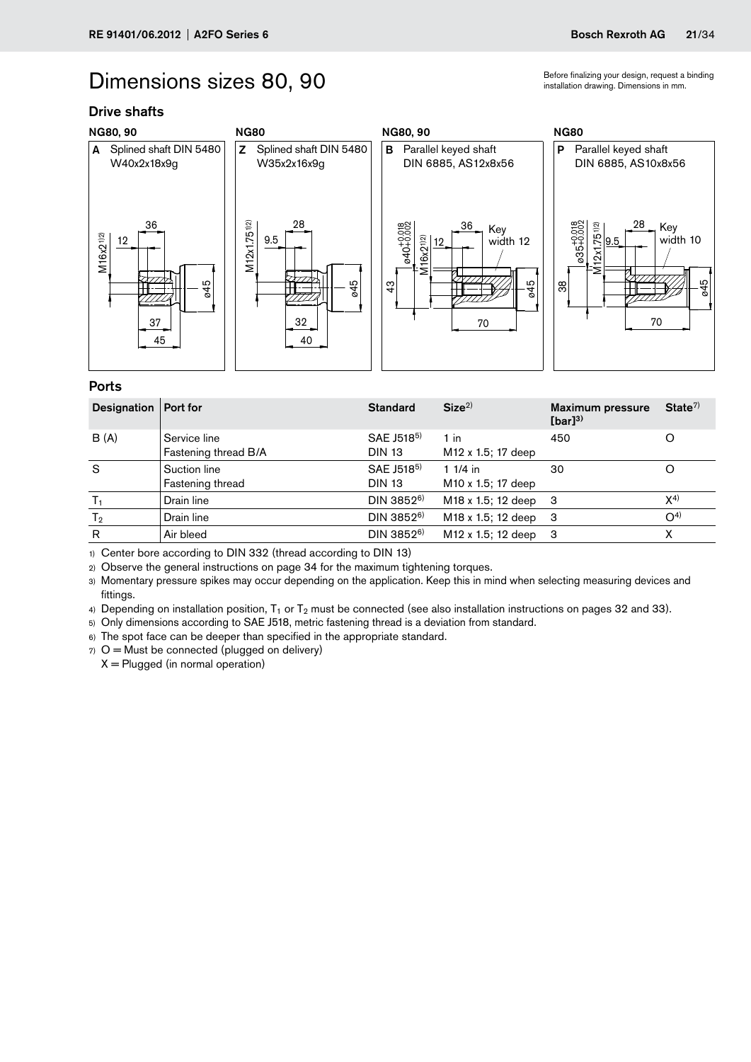## Dimensions sizes 80, 90

### Drive shafts



### Ports

| Designation    | Port for                             | <b>Standard</b>                         | Size <sup>2</sup>                            | <b>Maximum pressure</b><br>$[bar]^{3)}$ | State <sup>7</sup> |
|----------------|--------------------------------------|-----------------------------------------|----------------------------------------------|-----------------------------------------|--------------------|
| B(A)           | Service line<br>Fastening thread B/A | SAE J518 <sup>5)</sup><br><b>DIN 13</b> | $1$ in<br>M <sub>12</sub> x 1.5; 17 deep     | 450                                     |                    |
| S              | Suction line<br>Fastening thread     | SAE J518 <sup>5)</sup><br><b>DIN 13</b> | 1 $1/4$ in<br>M <sub>10</sub> x 1.5; 17 deep | 30                                      |                    |
| $T_1$          | Drain line                           | DIN 3852 <sup>6)</sup>                  | M <sub>18</sub> x 1.5; 12 deep 3             |                                         | $X^{4)}$           |
| T <sub>2</sub> | Drain line                           | $DIN 3852^{6}$                          | M18 x 1.5; 12 deep                           | -3                                      | $O^{4}$            |
| R              | Air bleed                            | DIN 3852 <sup>6)</sup>                  | M <sub>12</sub> x 1.5; 12 deep               | -3                                      |                    |

1) Center bore according to DIN 332 (thread according to DIN 13)

2) Observe the general instructions on page 34 for the maximum tightening torques.

3) Momentary pressure spikes may occur depending on the application. Keep this in mind when selecting measuring devices and fittings.

4) Depending on installation position,  $T_1$  or  $T_2$  must be connected (see also installation instructions on pages 32 and 33).

5) Only dimensions according to SAE J518, metric fastening thread is a deviation from standard.

6) The spot face can be deeper than specified in the appropriate standard.

 $7)$  O = Must be connected (plugged on delivery)

 $X =$  Plugged (in normal operation)

Before finalizing your design, request a binding installation drawing. Dimensions in mm.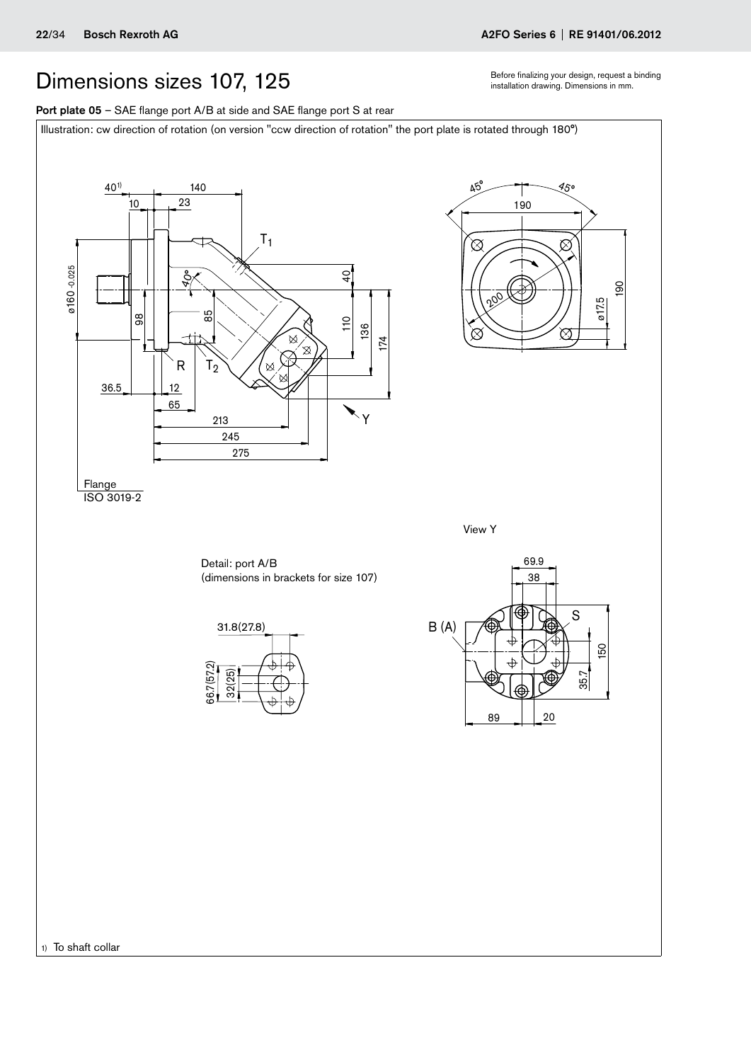1) To shaft collar

## <span id="page-21-0"></span>Dimensions sizes 107, 125 states the contract a binding pour design, request a binding Dimensions in mm.

Port plate 05 - SAE flange port A/B at side and SAE flange port S at rear

Illustration: cw direction of rotation (on version "ccw direction of rotation" the port plate is rotated through 180°)

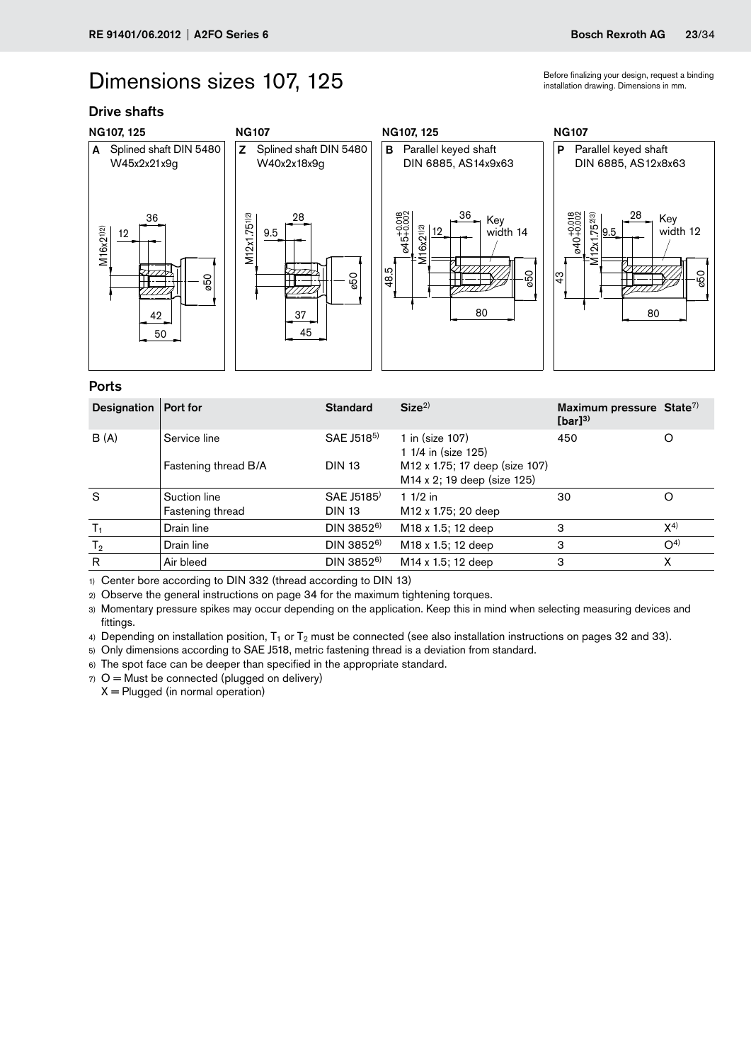### Dimensions sizes 107, 125

Drive shafts



### Ports

| Designation   Port for |                                  | <b>Standard</b>                         | Size <sup>2</sup>                                             | Maximum pressure State <sup>7)</sup><br>$[bar]^{3)}$ |                |
|------------------------|----------------------------------|-----------------------------------------|---------------------------------------------------------------|------------------------------------------------------|----------------|
| B(A)                   | Service line                     | SAE J518 <sup>5)</sup>                  | 1 in (size 107)<br>1 1/4 in (size 125)                        | 450                                                  | O              |
|                        | Fastening thread B/A             | <b>DIN 13</b>                           | M12 x 1.75; 17 deep (size 107)<br>M14 x 2; 19 deep (size 125) |                                                      |                |
| S                      | Suction line<br>Fastening thread | SAE J5185 <sup>)</sup><br><b>DIN 13</b> | 1 $1/2$ in<br>M <sub>12</sub> x 1.75; 20 deep                 | 30                                                   | O              |
| $T_1$                  | Drain line                       | $DIN 3852^{6}$                          | M <sub>18</sub> x 1.5; 12 deep                                | 3                                                    | $X^{(4)}$      |
| T <sub>2</sub>         | Drain line                       | DIN 3852 <sup>6)</sup>                  | M <sub>18</sub> x 1.5; 12 deep                                | 3                                                    | O <sup>4</sup> |
| R                      | Air bleed                        | $DIN 3852^{6}$                          | M <sub>14</sub> x 1.5; 12 deep                                | 3                                                    | x              |

1) Center bore according to DIN 332 (thread according to DIN 13)

2) Observe the general instructions on page 34 for the maximum tightening torques.

3) Momentary pressure spikes may occur depending on the application. Keep this in mind when selecting measuring devices and fittings.

4) Depending on installation position,  $T_1$  or  $T_2$  must be connected (see also installation instructions on pages 32 and 33).

5) Only dimensions according to SAE J518, metric fastening thread is a deviation from standard.

6) The spot face can be deeper than specified in the appropriate standard.

 $7)$  O = Must be connected (plugged on delivery)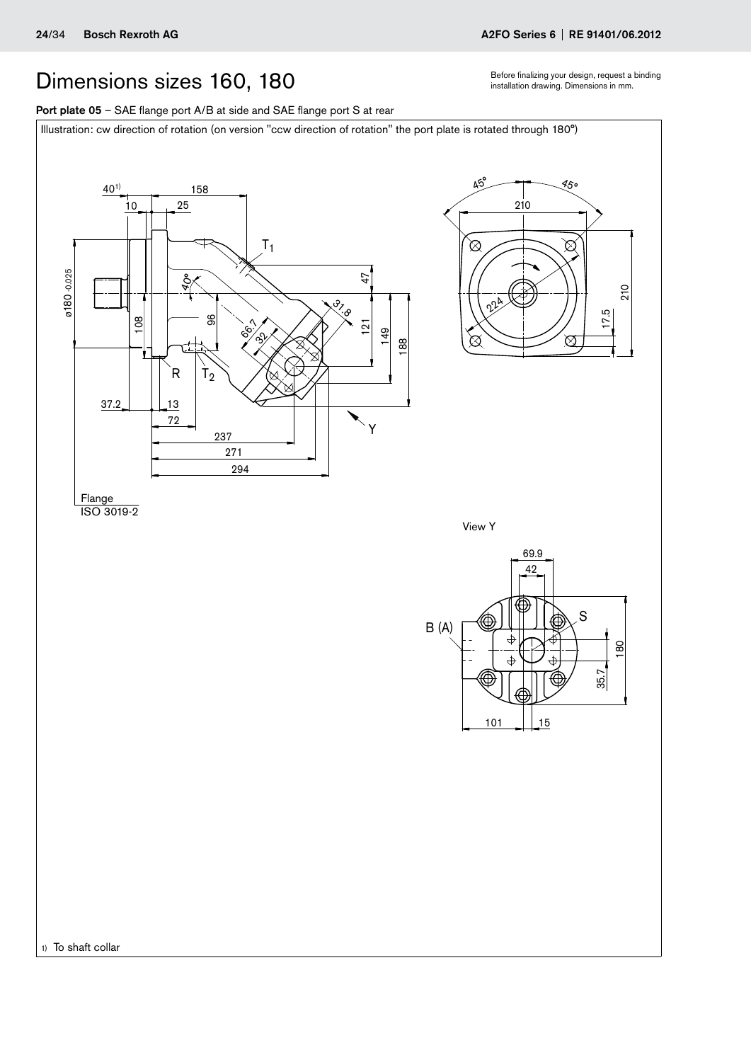## <span id="page-23-0"></span>Dimensions sizes 160, 180 states the proceed a binding pour design, request a binding Dimensions in mm.

Port plate 05 - SAE flange port A/B at side and SAE flange port S at rear

Illustration: cw direction of rotation (on version "ccw direction of rotation" the port plate is rotated through 180°)

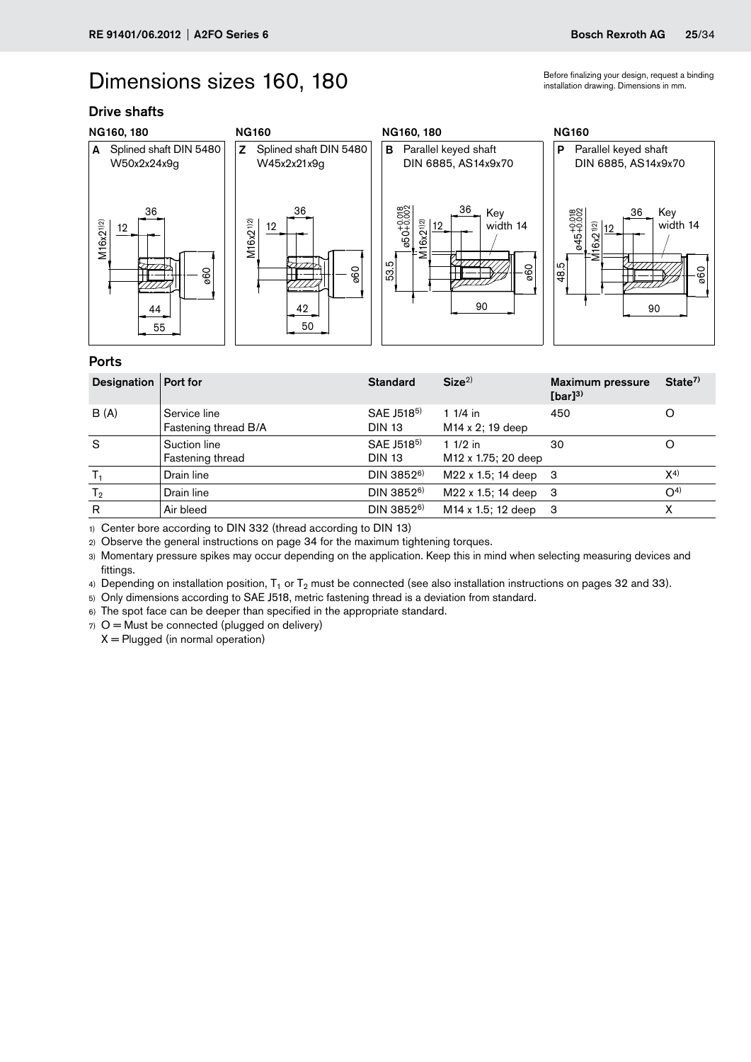### Dimensions sizes 160, 180 states the malizing your design, request a binding  $B$  binding Dimensions in mm.

### Drive shafts



### Ports

| Designation    | Port for                             | <b>Standard</b>                         | Size <sup>2</sup>                             | <b>Maximum pressure</b><br>$[bar]^{3)}$ | State <sup>7</sup> |
|----------------|--------------------------------------|-----------------------------------------|-----------------------------------------------|-----------------------------------------|--------------------|
| B(A)           | Service line<br>Fastening thread B/A | SAE J518 <sup>5)</sup><br><b>DIN 13</b> | $11/4$ in<br>M <sub>14</sub> x 2; 19 deep     | 450                                     |                    |
| S              | Suction line<br>Fastening thread     | SAE J518 <sup>5)</sup><br><b>DIN 13</b> | 1 $1/2$ in<br>M <sub>12</sub> x 1.75; 20 deep | 30                                      |                    |
| $T_1$          | Drain line                           | $DIN 3852^{6}$                          | M22 x 1.5; 14 deep 3                          |                                         | $X^{4)}$           |
| T <sub>2</sub> | Drain line                           | DIN 3852 <sup>6)</sup>                  | M22 x 1.5; 14 deep                            | -3                                      | O <sup>4</sup>     |
| R              | Air bleed                            | DIN 3852 <sup>6)</sup>                  | M <sub>14</sub> x 1.5; 12 deep                | -3                                      | χ                  |

1) Center bore according to DIN 332 (thread according to DIN 13)

2) Observe the general instructions on page 34 for the maximum tightening torques.

3) Momentary pressure spikes may occur depending on the application. Keep this in mind when selecting measuring devices and fittings.

4) Depending on installation position,  $T_1$  or  $T_2$  must be connected (see also installation instructions on pages 32 and 33).

5) Only dimensions according to SAE J518, metric fastening thread is a deviation from standard.

6) The spot face can be deeper than specified in the appropriate standard.

 $7)$  O = Must be connected (plugged on delivery)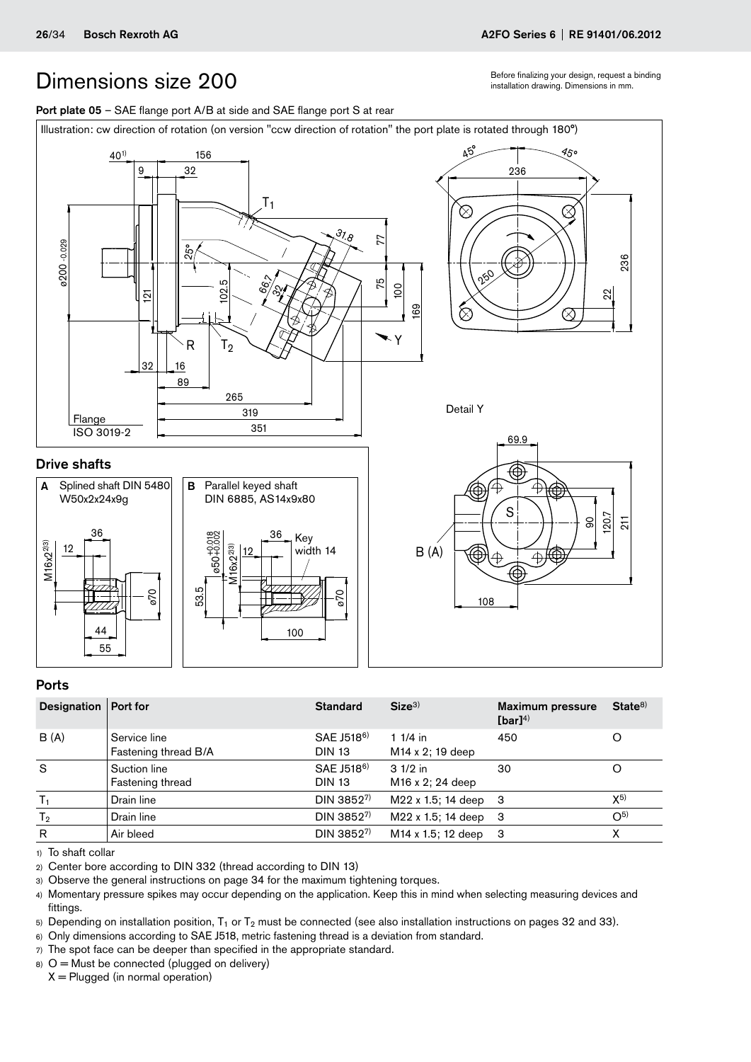Before finalizing your design, request a binding installation drawing. Dimensions in mm.

<span id="page-25-0"></span>



### Ports

| Designation   Port for |                                      | <b>Standard</b>                         | Size <sup>3</sup>                          | <b>Maximum pressure</b><br>[bar] $4$ ) | State <sup>8</sup> |
|------------------------|--------------------------------------|-----------------------------------------|--------------------------------------------|----------------------------------------|--------------------|
| B (A)                  | Service line<br>Fastening thread B/A | SAE J518 <sup>6)</sup><br><b>DIN 13</b> | 1 $1/4$ in<br>M <sub>14</sub> x 2; 19 deep | 450                                    | O                  |
| S                      | Suction line<br>Fastening thread     | SAE J518 <sup>6)</sup><br><b>DIN 13</b> | $31/2$ in<br>M <sub>16</sub> x 2; 24 deep  | 30                                     |                    |
| $T_1$                  | Drain line                           | DIN 3852 <sup>7)</sup>                  | M22 x 1.5; 14 deep                         | -3                                     | $X^{5}$            |
| T <sub>2</sub>         | Drain line                           | DIN 38527)                              | M22 x 1.5; 14 deep                         | -3                                     | O <sub>2</sub>     |
| R                      | Air bleed                            | DIN 38527)                              | M <sub>14</sub> x 1.5; 12 deep             | 3                                      |                    |

1) To shaft collar

2) Center bore according to DIN 332 (thread according to DIN 13)

3) Observe the general instructions on page 34 for the maximum tightening torques.

4) Momentary pressure spikes may occur depending on the application. Keep this in mind when selecting measuring devices and fittings.

5) Depending on installation position,  $T_1$  or  $T_2$  must be connected (see also installation instructions on pages 32 and 33).

- 6) Only dimensions according to SAE J518, metric fastening thread is a deviation from standard.
- 7) The spot face can be deeper than specified in the appropriate standard.

 $8)$  O = Must be connected (plugged on delivery)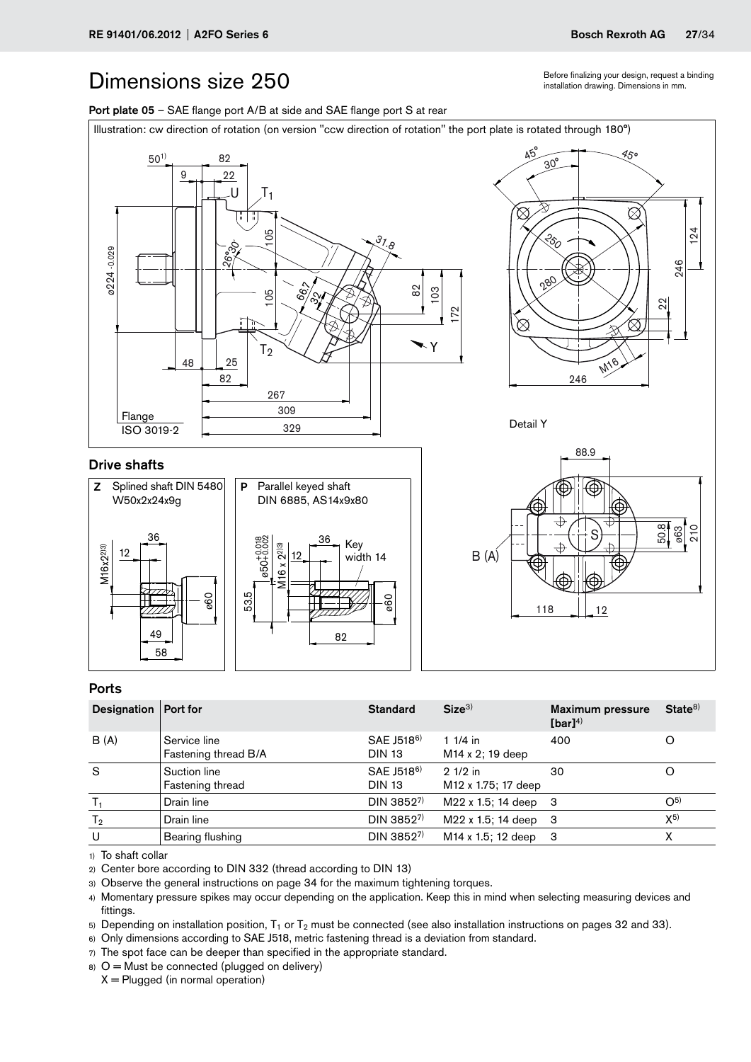Before finalizing your design, request a binding installation drawing. Dimensions in mm.

## <span id="page-26-0"></span>Dimensions size 250

Port plate 05 - SAE flange port A/B at side and SAE flange port S at rear



### Ports

M16x2<sup>2)3</sup>

ø224 -0.029

58 49

| Designation   Port for |                                      | <b>Standard</b>                         | Size <sup>3</sup>                            | <b>Maximum pressure</b><br>$[bar]^{4)}$ | State <sup>8</sup> |
|------------------------|--------------------------------------|-----------------------------------------|----------------------------------------------|-----------------------------------------|--------------------|
| B(A)                   | Service line<br>Fastening thread B/A | SAE J518 <sup>6)</sup><br><b>DIN 13</b> | 1 $1/4$ in<br>$M14 \times 2$ ; 19 deep       | 400                                     |                    |
| S                      | Suction line<br>Fastening thread     | SAE J518 <sup>6)</sup><br><b>DIN 13</b> | $21/2$ in<br>M <sub>12</sub> x 1.75; 17 deep | 30                                      |                    |
| т,                     | Drain line                           | DIN 38527)                              | M22 x 1.5; 14 deep 3                         |                                         | $O^{5}$            |
| T <sub>2</sub>         | Drain line                           | DIN 38527)                              | M22 x 1.5; 14 deep 3                         |                                         | $X^{5}$            |
| U                      | Bearing flushing                     | DIN 3852 <sup>7)</sup>                  | M <sub>14</sub> x 1.5; 12 deep 3             |                                         |                    |

1) To shaft collar

2) Center bore according to DIN 332 (thread according to DIN 13)

3) Observe the general instructions on page 34 for the maximum tightening torques.

4) Momentary pressure spikes may occur depending on the application. Keep this in mind when selecting measuring devices and fittings.

5) Depending on installation position,  $T_1$  or  $T_2$  must be connected (see also installation instructions on pages 32 and 33).

6) Only dimensions according to SAE J518, metric fastening thread is a deviation from standard.

82

7) The spot face can be deeper than specified in the appropriate standard.

 $8)$  O = Must be connected (plugged on delivery)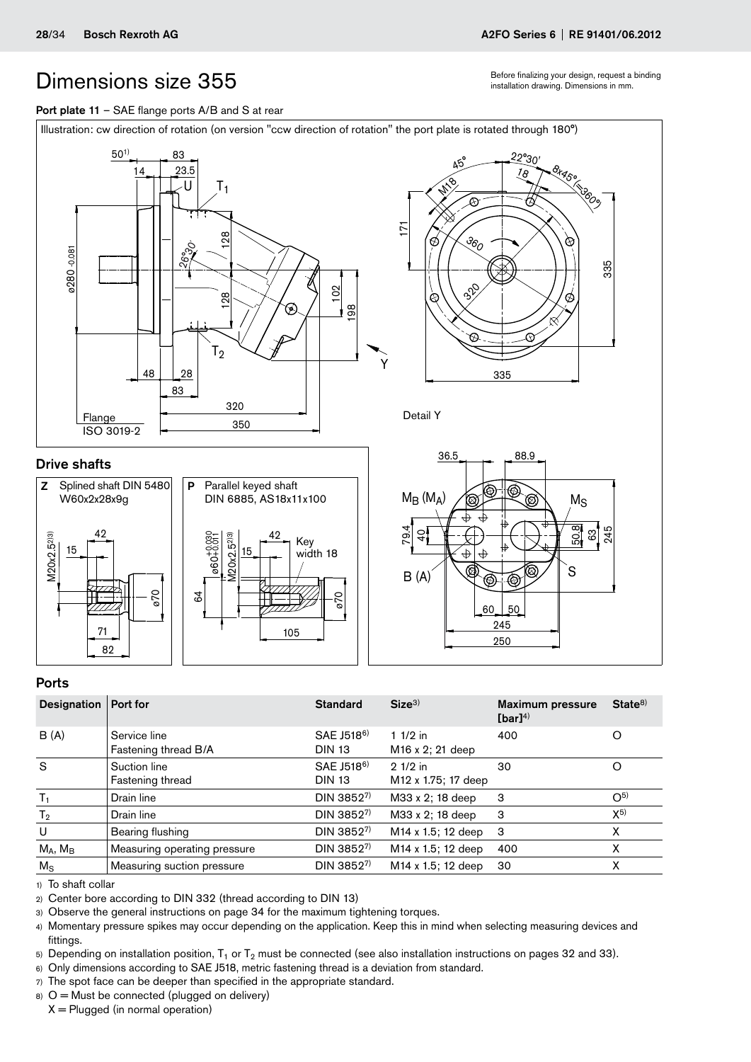Before finalizing your design, request a binding installation drawing. Dimensions in mm.

### <span id="page-27-0"></span>Port plate 11 - SAE flange ports A/B and S at rear









Detail Y



### Ports

| Designation   Port for |                                      | <b>Standard</b>                         | Size <sup>3</sup>                      | <b>Maximum pressure</b><br>[bar] $4)$ | State <sup>8</sup> |
|------------------------|--------------------------------------|-----------------------------------------|----------------------------------------|---------------------------------------|--------------------|
| B(A)                   | Service line<br>Fastening thread B/A | SAE J518 <sup>6)</sup><br><b>DIN 13</b> | 1 $1/2$ in<br>$M16 \times 2$ ; 21 deep | 400                                   |                    |
| S                      | Suction line<br>Fastening thread     | SAE J518 <sup>6)</sup><br><b>DIN 13</b> | $21/2$ in<br>M12 x 1.75; 17 deep       | 30                                    | O                  |
| $T_{1}$                | Drain line                           | DIN 38527)                              | M33 x 2; 18 deep                       | 3                                     | O <sub>2</sub>     |
| T <sub>2</sub>         | Drain line                           | DIN 38527)                              | M33 x 2; 18 deep                       | 3                                     | $X^{5}$            |
| U                      | Bearing flushing                     | DIN 38527)                              | M <sub>14</sub> x 1.5; 12 deep         | 3                                     | X                  |
| $M_A$ , $M_B$          | Measuring operating pressure         | DIN 3852 <sup>7)</sup>                  | M <sub>14</sub> x 1.5; 12 deep         | 400                                   | χ                  |
| $M_{\rm S}$            | Measuring suction pressure           | DIN 38527)                              | M14 x 1.5; 12 deep                     | 30                                    | x                  |

1) To shaft collar

2) Center bore according to DIN 332 (thread according to DIN 13)

3) Observe the general instructions on page 34 for the maximum tightening torques.

4) Momentary pressure spikes may occur depending on the application. Keep this in mind when selecting measuring devices and fittings.

5) Depending on installation position,  $T_1$  or  $T_2$  must be connected (see also installation instructions on pages 32 and 33).

6) Only dimensions according to SAE J518, metric fastening thread is a deviation from standard.

7) The spot face can be deeper than specified in the appropriate standard.

 $8)$  O = Must be connected (plugged on delivery)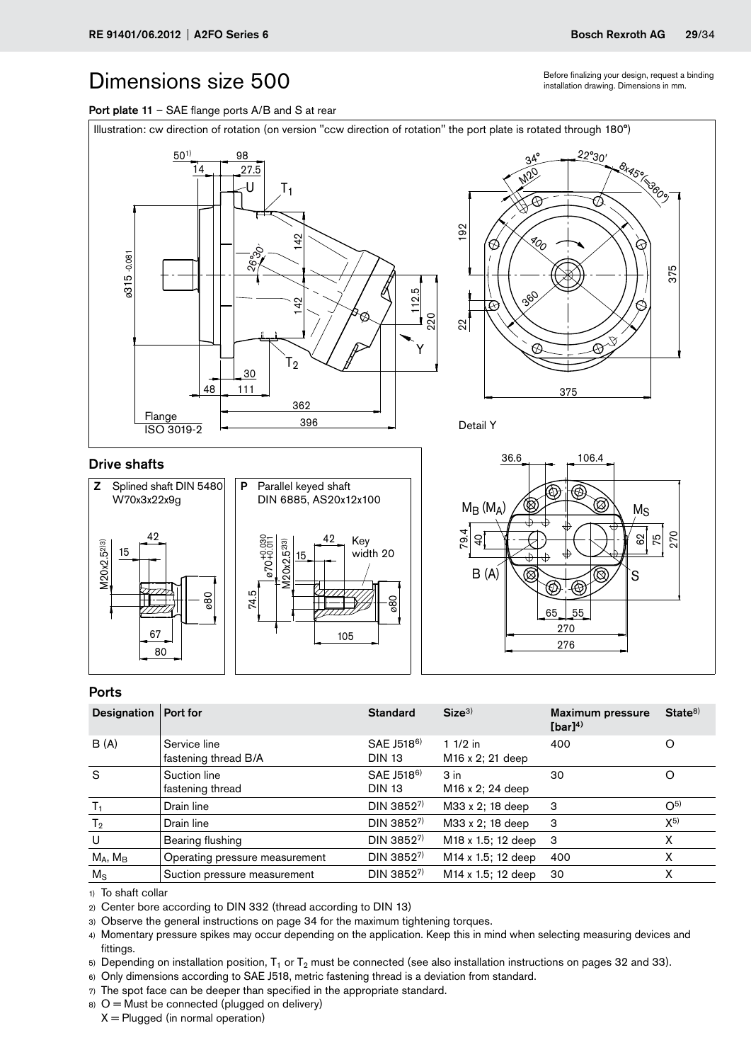Before finalizing your design, request a binding installation drawing. Dimensions in mm.

<span id="page-28-0"></span>





### Ports

| Designation   Port for |                                      | <b>Standard</b>                         | Size <sup>3</sup>                               | <b>Maximum pressure</b><br>$[bar]^{4)}$ | State <sup>8</sup> |
|------------------------|--------------------------------------|-----------------------------------------|-------------------------------------------------|-----------------------------------------|--------------------|
| B(A)                   | Service line<br>fastening thread B/A | SAE J518 <sup>6)</sup><br><b>DIN 13</b> | 1 $1/2$ in<br>M <sub>16</sub> x 2; 21 deep      | 400                                     | O                  |
| S                      | Suction line<br>fastening thread     | SAE J518 <sup>6)</sup><br><b>DIN 13</b> | 3 <sub>in</sub><br>M <sub>16</sub> x 2; 24 deep | 30                                      | O                  |
| $T_{1}$                | Drain line                           | DIN 38527)                              | M33 x 2; 18 deep                                | 3                                       | $O^{5}$            |
| T <sub>2</sub>         | Drain line                           | DIN 38527)                              | M33 x 2; 18 deep                                | 3                                       | $X^{5}$            |
| U                      | Bearing flushing                     | DIN 38527)                              | M <sub>18</sub> x 1.5; 12 deep                  | -3                                      | x                  |
| $M_A$ , $M_B$          | Operating pressure measurement       | DIN 38527)                              | M <sub>14</sub> x 1.5; 12 deep                  | 400                                     | х                  |
| $M_{\rm S}$            | Suction pressure measurement         | DIN 38527)                              | M <sub>14</sub> x 1.5; 12 deep                  | 30                                      | x                  |

1) To shaft collar

2) Center bore according to DIN 332 (thread according to DIN 13)

3) Observe the general instructions on page 34 for the maximum tightening torques.

4) Momentary pressure spikes may occur depending on the application. Keep this in mind when selecting measuring devices and fittings.

5) Depending on installation position,  $T_1$  or  $T_2$  must be connected (see also installation instructions on pages 32 and 33).

6) Only dimensions according to SAE J518, metric fastening thread is a deviation from standard.

7) The spot face can be deeper than specified in the appropriate standard.

 $8)$  O = Must be connected (plugged on delivery)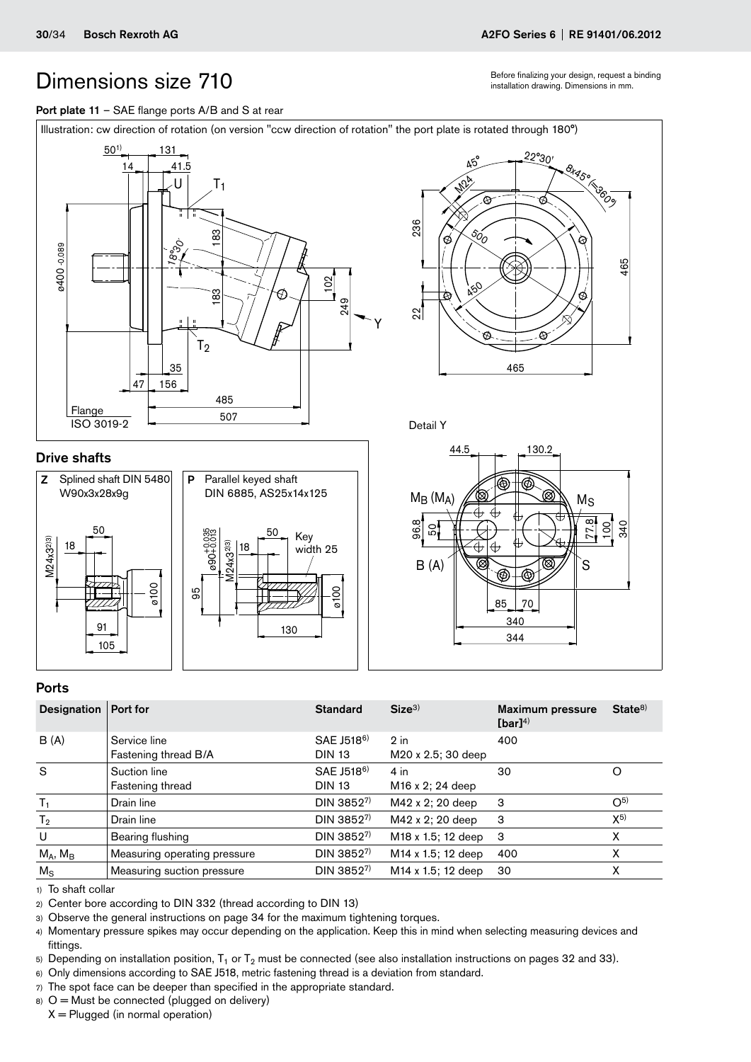Before finalizing your design, request a binding installation drawing. Dimensions in mm.

### <span id="page-29-0"></span>Port plate 11 - SAE flange ports A/B and S at rear



### Drive shafts







### Ports

| Designation    | Port for                             | <b>Standard</b>                         | Size <sup>3</sup>                      | <b>Maximum pressure</b><br>$[bar]^{4)}$ | State <sup>8</sup> |
|----------------|--------------------------------------|-----------------------------------------|----------------------------------------|-----------------------------------------|--------------------|
| B(A)           | Service line<br>Fastening thread B/A | SAE J518 <sup>6)</sup><br><b>DIN 13</b> | $2$ in<br>M20 x 2.5; 30 deep           | 400                                     |                    |
| S              | Suction line<br>Fastening thread     | SAE J518 <sup>6)</sup><br><b>DIN 13</b> | $4$ in<br>M <sub>16</sub> x 2; 24 deep | 30                                      |                    |
| $T_1$          | Drain line                           | DIN 38527)                              | M42 x 2; 20 deep                       | -3                                      | $O^{5}$            |
| T <sub>2</sub> | Drain line                           | DIN 38527)                              | M42 x 2; 20 deep                       | 3                                       | X <sub>2</sub>     |
| U              | Bearing flushing                     | DIN 38527)                              | M18 x 1.5; 12 deep                     | 3                                       | X                  |
| $M_A$ , $M_B$  | Measuring operating pressure         | $DIN 3852^{7}$                          | M <sub>14</sub> x 1.5; 12 deep         | 400                                     | х                  |
| $M_{\rm S}$    | Measuring suction pressure           | DIN 38527)                              | M <sub>14</sub> x 1.5; 12 deep         | 30                                      | х                  |

1) To shaft collar

2) Center bore according to DIN 332 (thread according to DIN 13)

3) Observe the general instructions on page 34 for the maximum tightening torques.

4) Momentary pressure spikes may occur depending on the application. Keep this in mind when selecting measuring devices and fittings.

5) Depending on installation position,  $T_1$  or  $T_2$  must be connected (see also installation instructions on pages 32 and 33).

6) Only dimensions according to SAE J518, metric fastening thread is a deviation from standard.

7) The spot face can be deeper than specified in the appropriate standard.

 $8)$  O = Must be connected (plugged on delivery)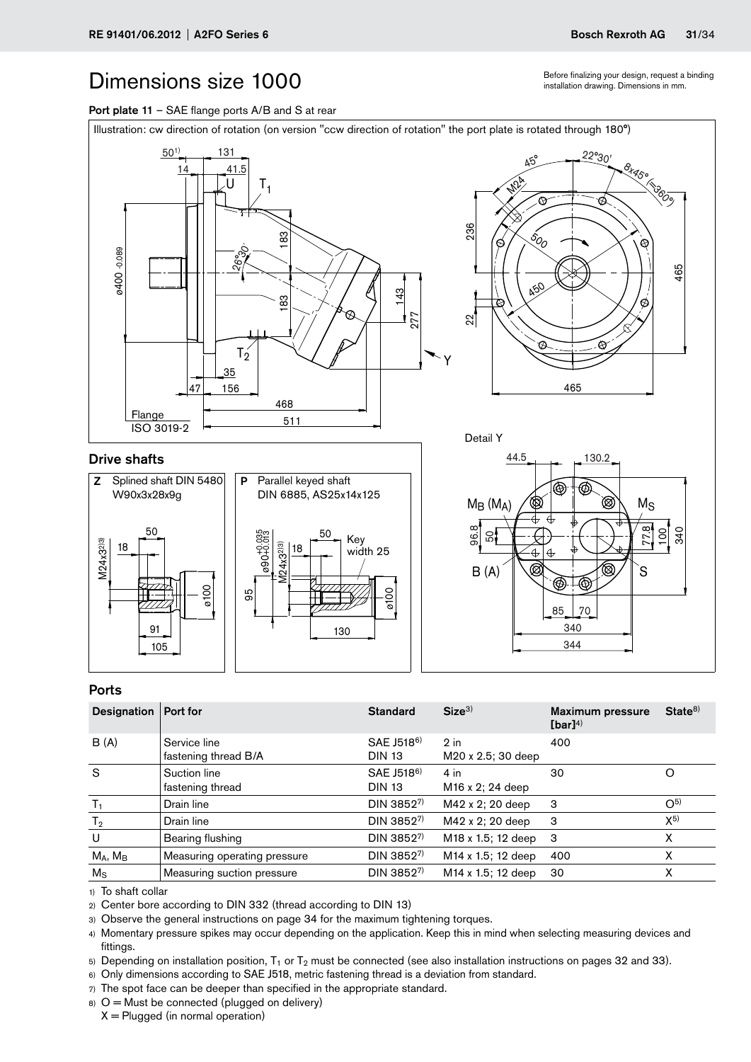Before finalizing your design, request a binding installation drawing. Dimensions in mm.

85 70

340

344

<span id="page-30-0"></span>Port plate 11 - SAE flange ports A/B and S at rear



### Ports

105 91

| <b>Designation</b> | Port for                             | <b>Standard</b>                         | Size <sup>3</sup>                      | <b>Maximum pressure</b><br>$[bar]^{4)}$ | State <sup>8</sup> |
|--------------------|--------------------------------------|-----------------------------------------|----------------------------------------|-----------------------------------------|--------------------|
| B(A)               | Service line<br>fastening thread B/A | SAE J518 <sup>6)</sup><br><b>DIN 13</b> | $2$ in<br>M20 x 2.5; 30 deep           | 400                                     |                    |
| S                  | Suction line<br>fastening thread     | SAE J518 <sup>6)</sup><br><b>DIN 13</b> | $4$ in<br>M <sub>16</sub> x 2; 24 deep | 30                                      |                    |
| $T_1$              | Drain line                           | DIN 38527)                              | M42 x 2; 20 deep                       | 3                                       | O <sub>2</sub>     |
| T <sub>2</sub>     | Drain line                           | DIN 38527)                              | M42 x 2; 20 deep                       | 3                                       | $X^{5}$            |
| U                  | Bearing flushing                     | DIN 38527)                              | M18 x 1.5; 12 deep                     | -3                                      | x                  |
| $M_A$ , $M_B$      | Measuring operating pressure         | DIN 38527)                              | M <sub>14</sub> x 1.5; 12 deep         | 400                                     | Χ                  |
| $M_{\rm S}$        | Measuring suction pressure           | DIN 38527)                              | M <sub>14</sub> x 1.5; 12 deep         | 30                                      | х                  |

130

1) To shaft collar

2) Center bore according to DIN 332 (thread according to DIN 13)

3) Observe the general instructions on page 34 for the maximum tightening torques.

4) Momentary pressure spikes may occur depending on the application. Keep this in mind when selecting measuring devices and fittings.

5) Depending on installation position,  $T_1$  or  $T_2$  must be connected (see also installation instructions on pages 32 and 33).

6) Only dimensions according to SAE J518, metric fastening thread is a deviation from standard.

7) The spot face can be deeper than specified in the appropriate standard.

 $8)$  O = Must be connected (plugged on delivery)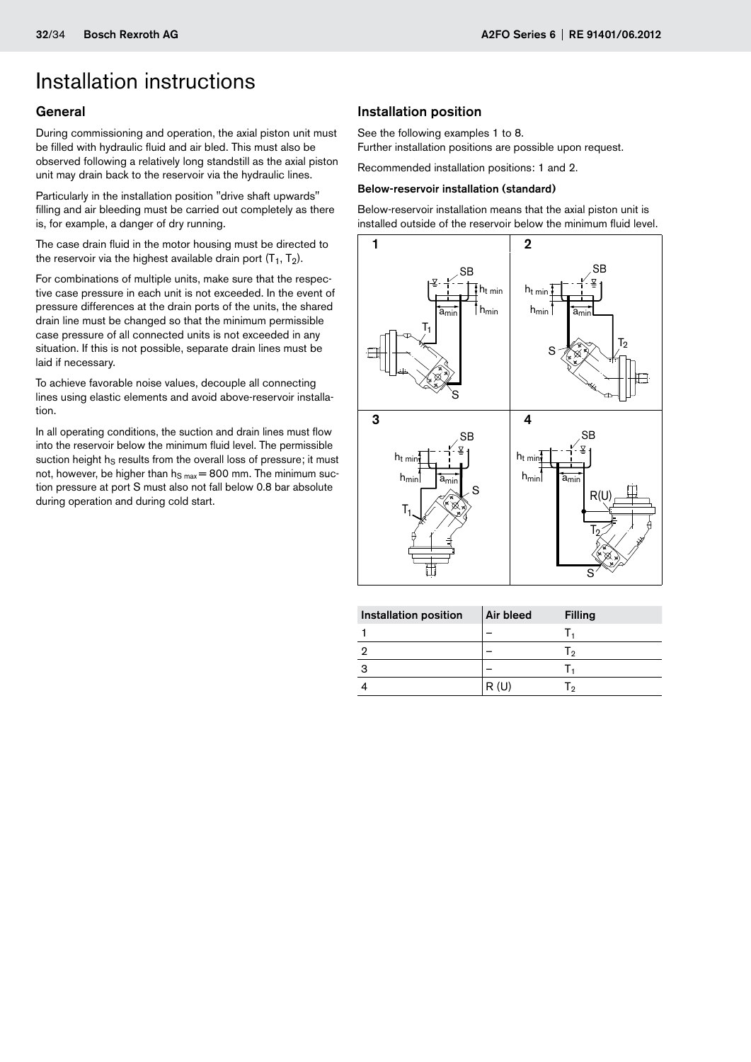### <span id="page-31-0"></span>Installation instructions

### **General**

During commissioning and operation, the axial piston unit must be filled with hydraulic fluid and air bled. This must also be observed following a relatively long standstill as the axial piston unit may drain back to the reservoir via the hydraulic lines.

Particularly in the installation position "drive shaft upwards" filling and air bleeding must be carried out completely as there is, for example, a danger of dry running.

The case drain fluid in the motor housing must be directed to the reservoir via the highest available drain port  $(T_1, T_2)$ .

For combinations of multiple units, make sure that the respective case pressure in each unit is not exceeded. In the event of pressure differences at the drain ports of the units, the shared drain line must be changed so that the minimum permissible case pressure of all connected units is not exceeded in any situation. If this is not possible, separate drain lines must be laid if necessary.

To achieve favorable noise values, decouple all connecting lines using elastic elements and avoid above-reservoir installation.

In all operating conditions, the suction and drain lines must flow into the reservoir below the minimum fluid level. The permissible suction height hs results from the overall loss of pressure; it must not, however, be higher than  $h_{S max} = 800$  mm. The minimum suction pressure at port S must also not fall below 0.8 bar absolute during operation and during cold start.

### Installation position

See the following examples 1 to 8. Further installation positions are possible upon request.

Recommended installation positions: 1 and 2.

### Below-reservoir installation (standard)

Below-reservoir installation means that the axial piston unit is installed outside of the reservoir below the minimum fluid level.

![](_page_31_Figure_15.jpeg)

| <b>Installation position</b> | Air bleed | <b>Filling</b> |
|------------------------------|-----------|----------------|
|                              |           |                |
|                              |           | - ח            |
|                              |           |                |
|                              | R(U)      |                |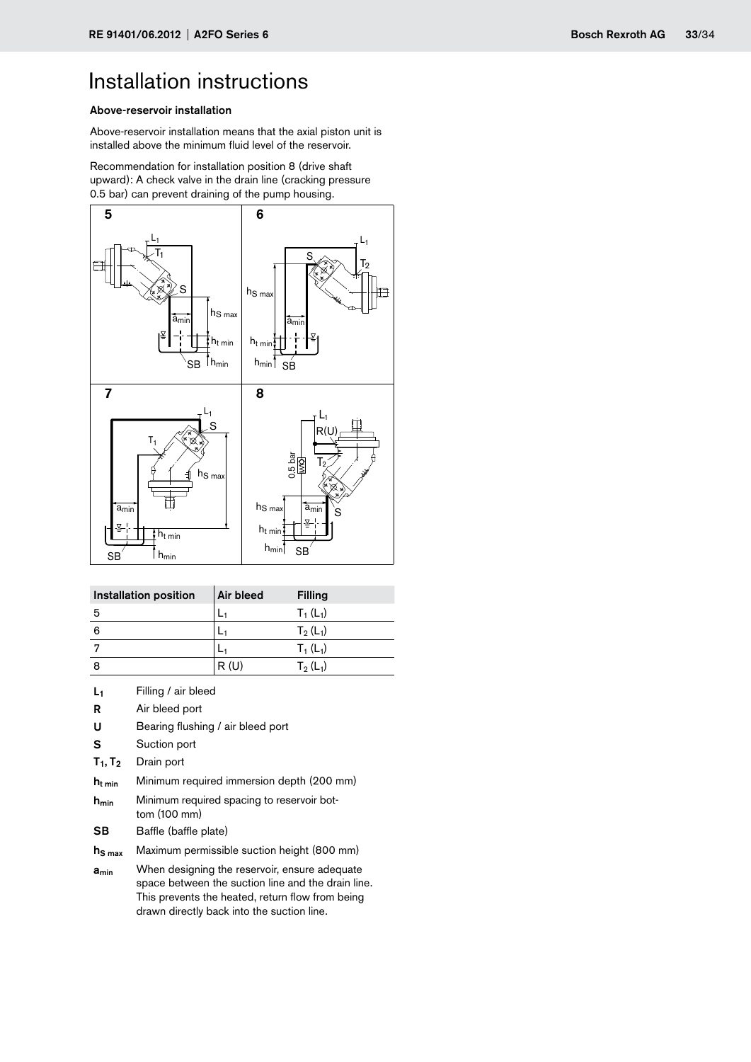## Installation instructions

### Above-reservoir installation

Above-reservoir installation means that the axial piston unit is installed above the minimum fluid level of the reservoir.

Recommendation for installation position 8 (drive shaft upward): A check valve in the drain line (cracking pressure 0.5 bar) can prevent draining of the pump housing.

![](_page_32_Figure_6.jpeg)

| Installation position | Air bleed | <b>Filling</b> |
|-----------------------|-----------|----------------|
| 5                     |           | $T_1(L_1)$     |
| 6                     |           | $T_2(L_1)$     |
| 7                     |           | $T_1(L_1)$     |
|                       | R(U)      | $T_2(L_1)$     |

- L<sub>1</sub> Filling / air bleed
- R Air bleed port
- U Bearing flushing / air bleed port
- S Suction port
- $T_1, T_2$  Drain port
- $h<sub>t min</sub>$  Minimum required immersion depth (200 mm)
- $h_{min}$  Minimum required spacing to reservoir bottom (100 mm)
- SB Baffle (baffle plate)
- $h<sub>S max</sub>$  Maximum permissible suction height (800 mm)
- a<sub>min</sub> When designing the reservoir, ensure adequate space between the suction line and the drain line. This prevents the heated, return flow from being drawn directly back into the suction line.